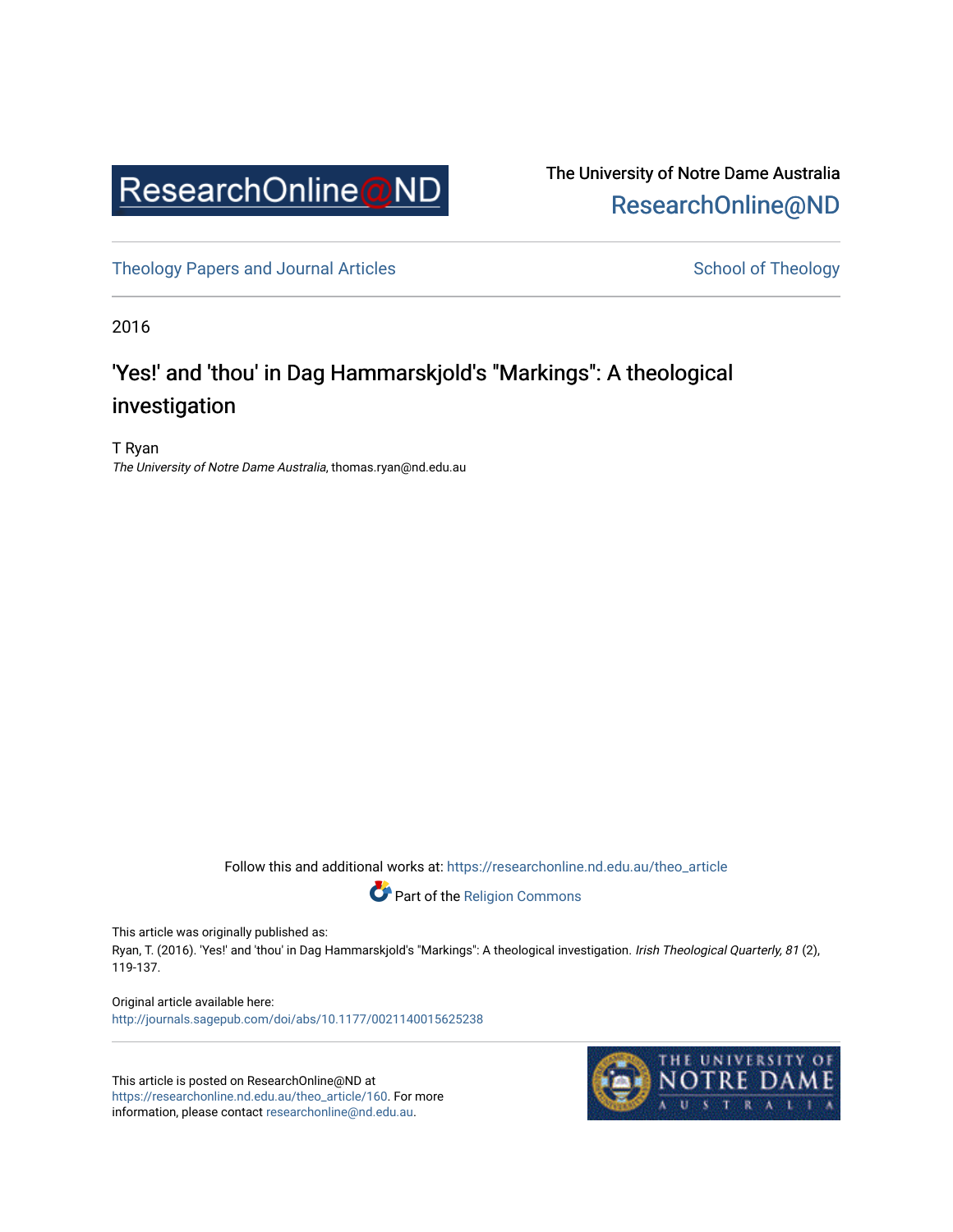

The University of Notre Dame Australia [ResearchOnline@ND](https://researchonline.nd.edu.au/) 

[Theology Papers and Journal Articles](https://researchonline.nd.edu.au/theo_article) and [School of Theology](https://researchonline.nd.edu.au/theo) School of Theology

2016

# 'Yes!' and 'thou' in Dag Hammarskjold's "Markings": A theological investigation

T Ryan The University of Notre Dame Australia, thomas.ryan@nd.edu.au

Follow this and additional works at: [https://researchonline.nd.edu.au/theo\\_article](https://researchonline.nd.edu.au/theo_article?utm_source=researchonline.nd.edu.au%2Ftheo_article%2F160&utm_medium=PDF&utm_campaign=PDFCoverPages) 



This article was originally published as:

Ryan, T. (2016). 'Yes!' and 'thou' in Dag Hammarskjold's "Markings": A theological investigation. Irish Theological Quarterly, 81 (2), 119-137.

Original article available here: <http://journals.sagepub.com/doi/abs/10.1177/0021140015625238>

This article is posted on ResearchOnline@ND at [https://researchonline.nd.edu.au/theo\\_article/160](https://researchonline.nd.edu.au/theo_article/160). For more information, please contact [researchonline@nd.edu.au.](mailto:researchonline@nd.edu.au)

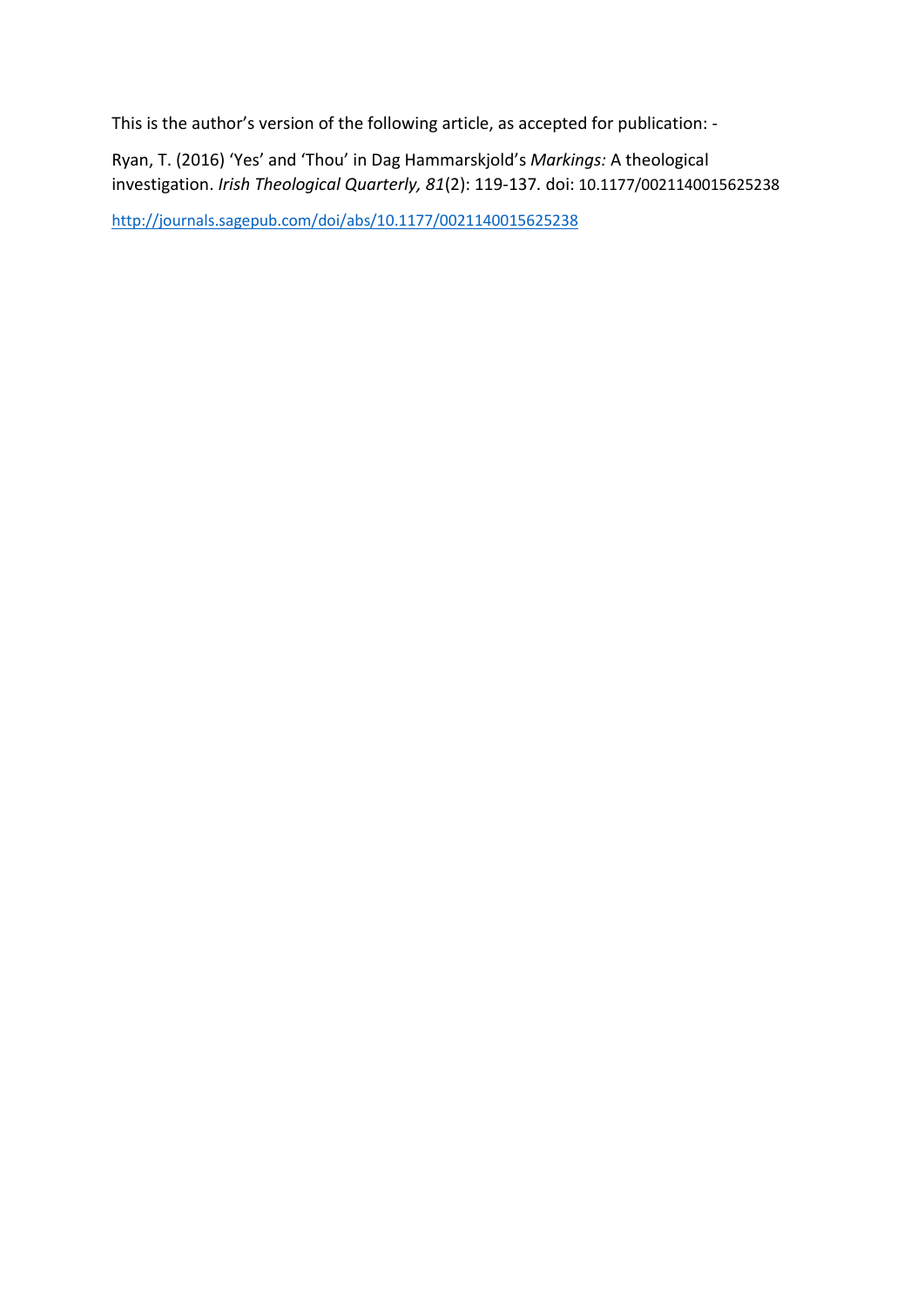This is the author's version of the following article, as accepted for publication: -

Ryan, T. (2016) 'Yes' and 'Thou' in Dag Hammarskjold's *Markings:* A theological investigation. *Irish Theological Quarterly, 81*(2): 119-137*.* doi: 10.1177/0021140015625238

<http://journals.sagepub.com/doi/abs/10.1177/0021140015625238>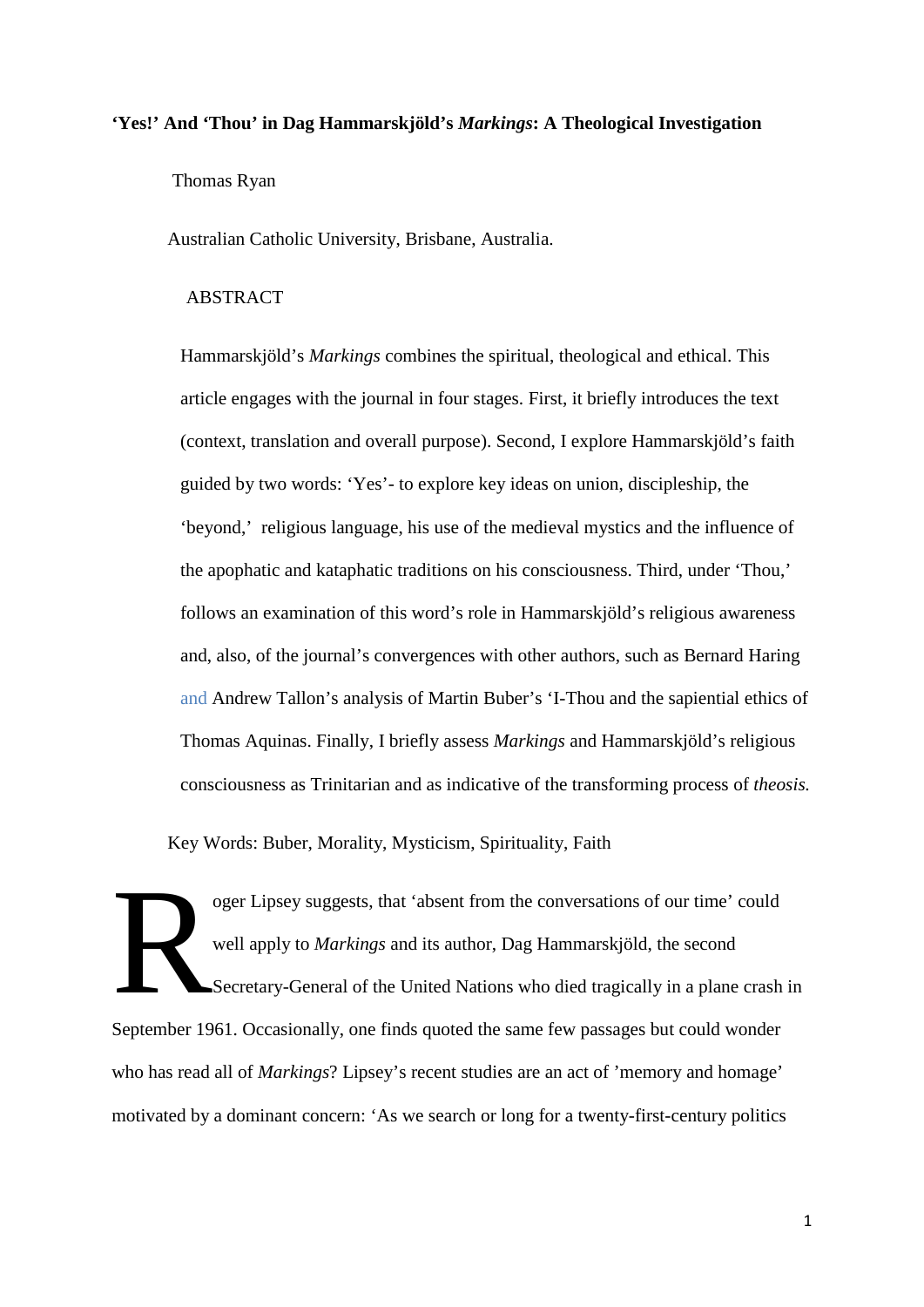#### **'Yes!' And 'Thou' in Dag Hammarskjöld's** *Markings***: A Theological Investigation**

Thomas Ryan

Australian Catholic University, Brisbane, Australia.

## ABSTRACT

Hammarskjöld's *Markings* combines the spiritual, theological and ethical. This article engages with the journal in four stages. First, it briefly introduces the text (context, translation and overall purpose). Second, I explore Hammarskjöld's faith guided by two words: 'Yes'- to explore key ideas on union, discipleship, the 'beyond,' religious language, his use of the medieval mystics and the influence of the apophatic and kataphatic traditions on his consciousness. Third, under 'Thou,' follows an examination of this word's role in Hammarskjöld's religious awareness and, also, of the journal's convergences with other authors, such as Bernard Haring and Andrew Tallon's analysis of Martin Buber's 'I-Thou and the sapiential ethics of Thomas Aquinas. Finally, I briefly assess *Markings* and Hammarskjöld's religious consciousness as Trinitarian and as indicative of the transforming process of *theosis.*

Key Words: Buber, Morality, Mysticism, Spirituality, Faith

oger Lipsey suggests, that 'absent from the conversations of our time' could well apply to *Markings* and its author, Dag Hammarskjöld, the second Secretary-General of the United Nations who died tragically in a plane crash in September 1961. Occasionally, one finds quoted the same few passages but could wonder who has read all of *Markings*? Lipsey's recent studies are an act of 'memory and homage' motivated by a dominant concern: 'As we search or long for a twenty-first-century politics R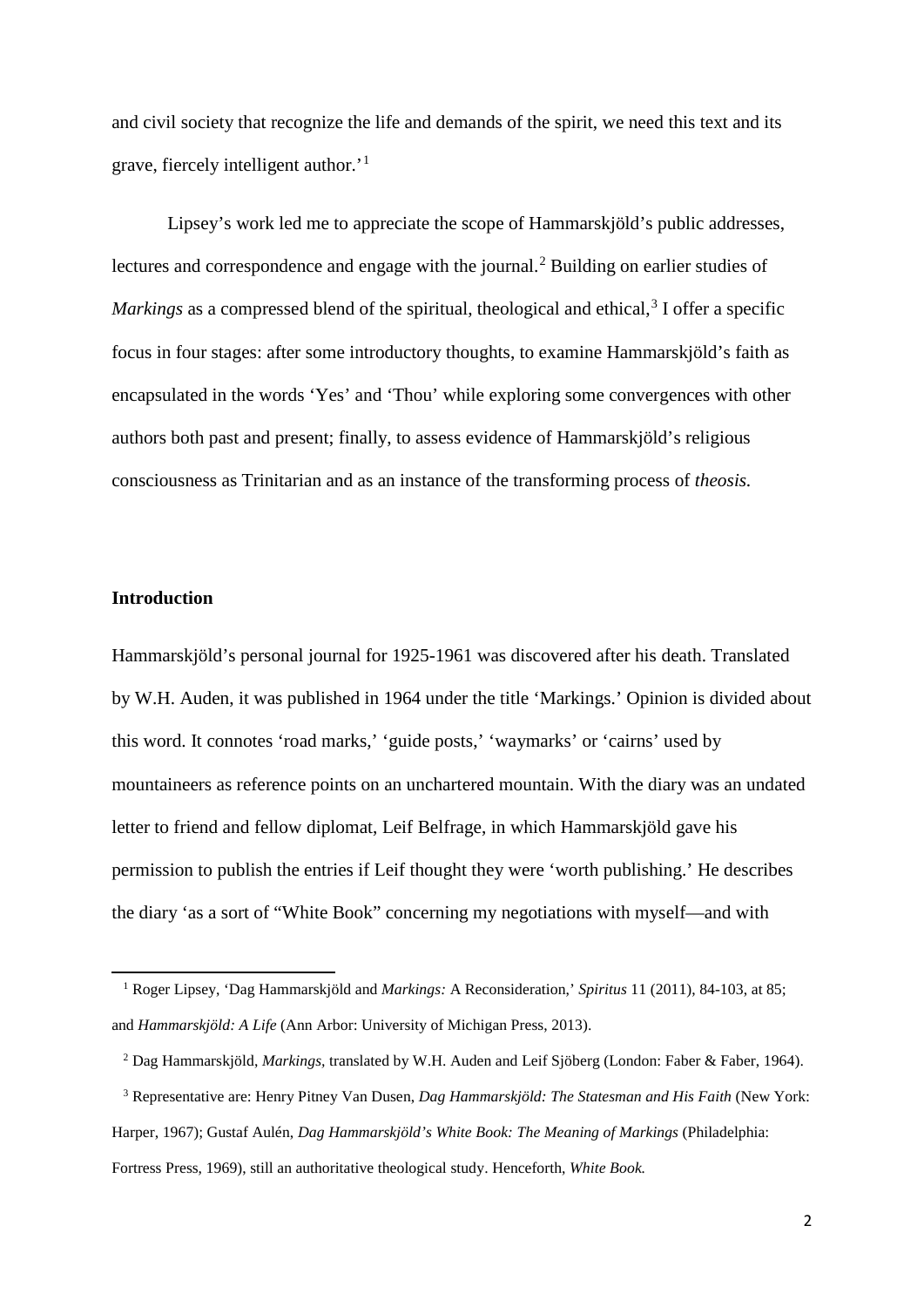and civil society that recognize the life and demands of the spirit, we need this text and its grave, fiercely intelligent author.'[1](#page-3-0)

Lipsey's work led me to appreciate the scope of Hammarskjöld's public addresses, lectures and correspondence and engage with the journal.<sup>[2](#page-3-1)</sup> Building on earlier studies of Markings as a compressed blend of the spiritual, theological and ethical,<sup>[3](#page-3-2)</sup> I offer a specific focus in four stages: after some introductory thoughts, to examine Hammarskjöld's faith as encapsulated in the words 'Yes' and 'Thou' while exploring some convergences with other authors both past and present; finally, to assess evidence of Hammarskjöld's religious consciousness as Trinitarian and as an instance of the transforming process of *theosis.*

#### **Introduction**

**.** 

Hammarskjöld's personal journal for 1925-1961 was discovered after his death. Translated by W.H. Auden, it was published in 1964 under the title 'Markings.' Opinion is divided about this word. It connotes 'road marks,' 'guide posts,' 'waymarks' or 'cairns' used by mountaineers as reference points on an unchartered mountain. With the diary was an undated letter to friend and fellow diplomat, Leif Belfrage, in which Hammarskjöld gave his permission to publish the entries if Leif thought they were 'worth publishing.' He describes the diary 'as a sort of "White Book" concerning my negotiations with myself—and with

<span id="page-3-0"></span> <sup>1</sup> Roger Lipsey, 'Dag Hammarskjöld and *Markings:* A Reconsideration,' *Spiritus* 11 (2011), 84-103, at 85; and *Hammarskjöld: A Life* (Ann Arbor: University of Michigan Press, 2013).

 <sup>2</sup> Dag Hammarskjöld, *Markings,* translated by W.H. Auden and Leif Sjöberg (London: Faber & Faber, 1964).

<span id="page-3-2"></span><span id="page-3-1"></span> <sup>3</sup> Representative are: Henry Pitney Van Dusen, *Dag Hammarskjöld: The Statesman and His Faith* (New York: Harper, 1967); Gustaf Aulén, *Dag Hammarskjöld's White Book: The Meaning of Markings* (Philadelphia: Fortress Press, 1969), still an authoritative theological study. Henceforth, *White Book.*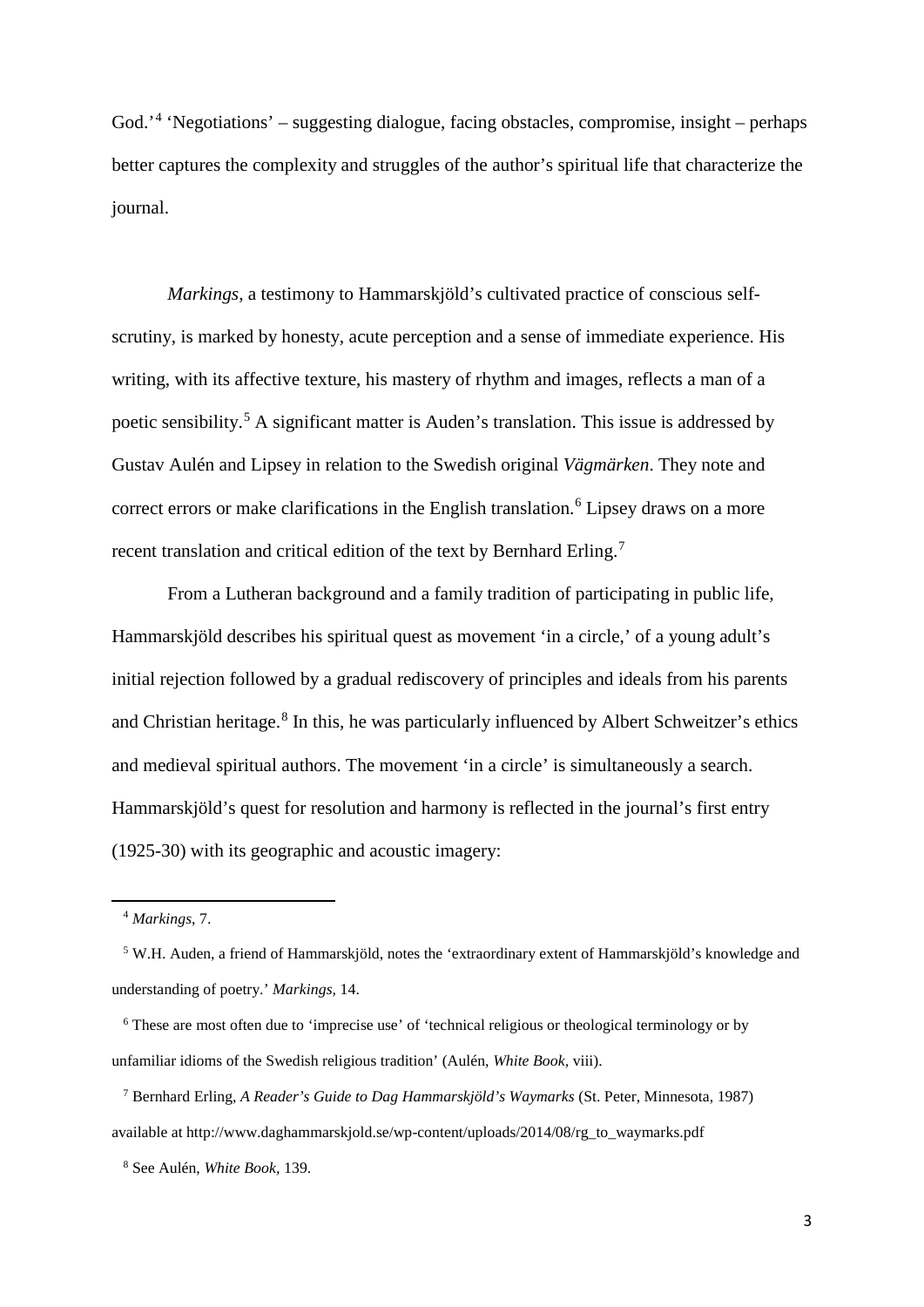God.<sup>2[4](#page-4-0)</sup> 'Negotiations' – suggesting dialogue, facing obstacles, compromise, insight – perhaps better captures the complexity and struggles of the author's spiritual life that characterize the journal.

*Markings,* a testimony to Hammarskjöld's cultivated practice of conscious selfscrutiny, is marked by honesty, acute perception and a sense of immediate experience. His writing, with its affective texture, his mastery of rhythm and images, reflects a man of a poetic sensibility.[5](#page-4-1) A significant matter is Auden's translation. This issue is addressed by Gustav Aulén and Lipsey in relation to the Swedish original *Vägmärken*. They note and correct errors or make clarifications in the English translation.<sup>[6](#page-4-2)</sup> Lipsey draws on a more recent translation and critical edition of the text by Bernhard Erling.<sup>[7](#page-4-3)</sup>

From a Lutheran background and a family tradition of participating in public life, Hammarskjöld describes his spiritual quest as movement 'in a circle,' of a young adult's initial rejection followed by a gradual rediscovery of principles and ideals from his parents and Christian heritage. [8](#page-4-4) In this, he was particularly influenced by Albert Schweitzer's ethics and medieval spiritual authors. The movement 'in a circle' is simultaneously a search. Hammarskjöld's quest for resolution and harmony is reflected in the journal's first entry (1925-30) with its geographic and acoustic imagery:

<span id="page-4-0"></span>1

 <sup>4</sup> *Markings*, 7.

<span id="page-4-1"></span> <sup>5</sup> W.H. Auden, a friend of Hammarskjöld, notes the 'extraordinary extent of Hammarskjöld's knowledge and understanding of poetry.' *Markings,* 14.

<span id="page-4-2"></span> <sup>6</sup> These are most often due to 'imprecise use' of 'technical religious or theological terminology or by unfamiliar idioms of the Swedish religious tradition' (Aulén, *White Book,* viii).

<span id="page-4-3"></span> <sup>7</sup> Bernhard Erling, *A Reader's Guide to Dag Hammarskjöld's Waymarks* (St. Peter, Minnesota, 1987) available at http://www.daghammarskjold.se/wp-content/uploads/2014/08/rg\_to\_waymarks.pdf

<span id="page-4-4"></span> <sup>8</sup> See Aulén, *White Book,* 139.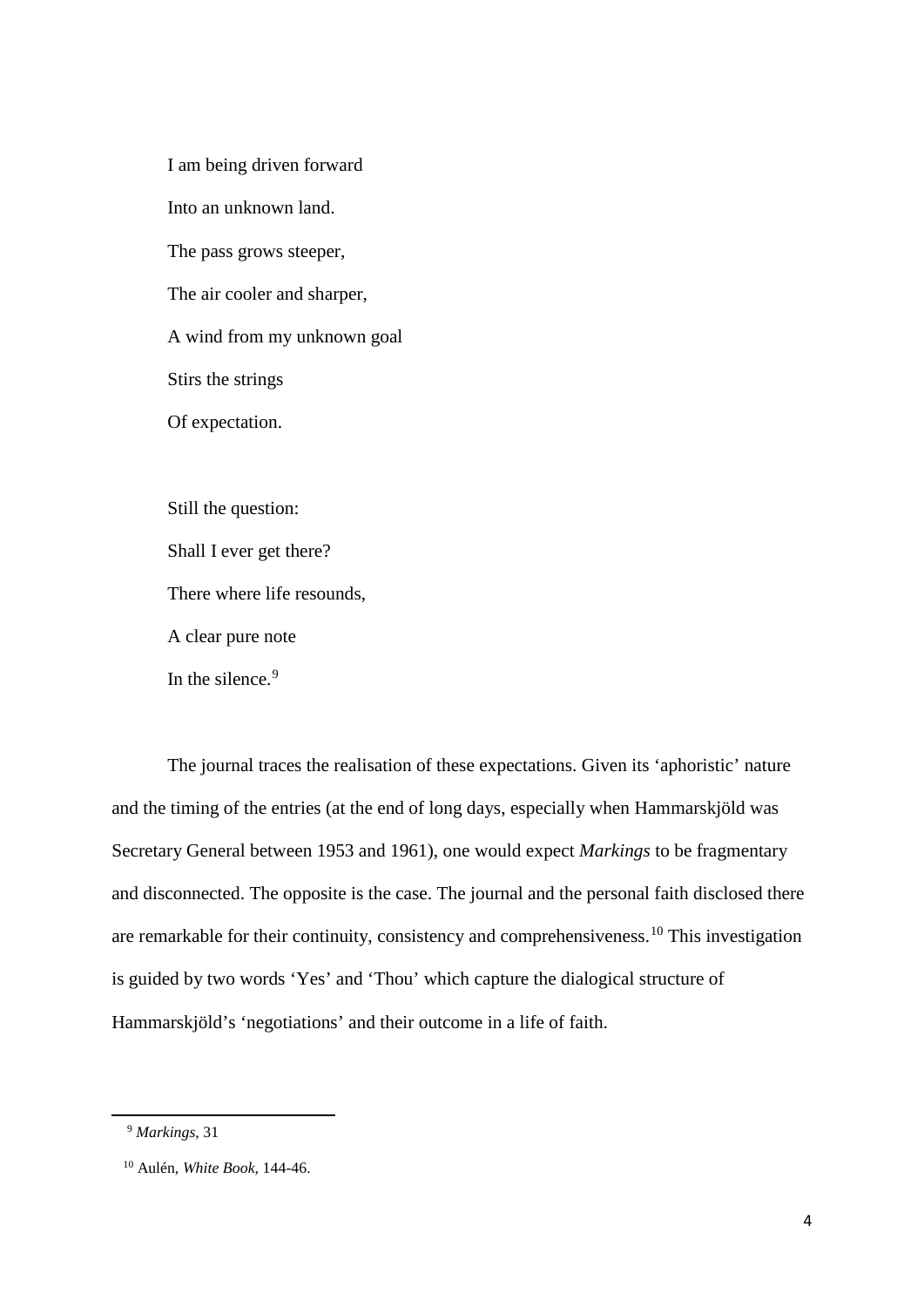I am being driven forward Into an unknown land. The pass grows steeper, The air cooler and sharper, A wind from my unknown goal Stirs the strings Of expectation.

Still the question: Shall I ever get there? There where life resounds, A clear pure note In the silence. [9](#page-5-0)

The journal traces the realisation of these expectations. Given its 'aphoristic' nature and the timing of the entries (at the end of long days, especially when Hammarskjöld was Secretary General between 1953 and 1961), one would expect *Markings* to be fragmentary and disconnected. The opposite is the case. The journal and the personal faith disclosed there are remarkable for their continuity, consistency and comprehensiveness.[10](#page-5-1) This investigation is guided by two words 'Yes' and 'Thou' which capture the dialogical structure of Hammarskjöld's 'negotiations' and their outcome in a life of faith.

<span id="page-5-0"></span> <sup>9</sup> *Markings*, 31

<span id="page-5-1"></span> <sup>10</sup> Aulén, *White Book,* 144-46.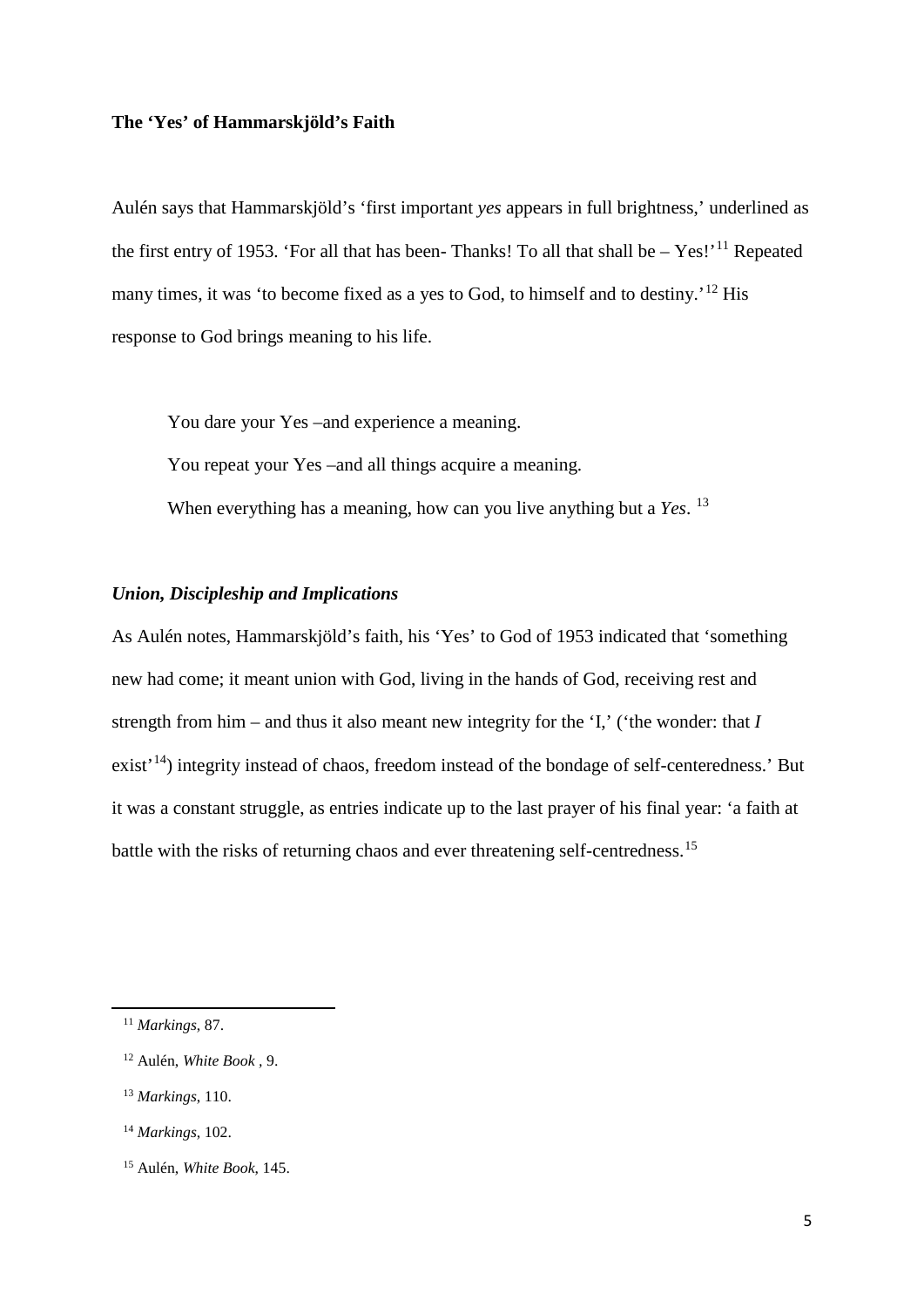### **The 'Yes' of Hammarskjöld's Faith**

Aulén says that Hammarskjöld's 'first important *yes* appears in full brightness,' underlined as the first entry of 1953. 'For all that has been- Thanks! To all that shall be  $-$  Yes!'<sup>[11](#page-6-0)</sup> Repeated many times, it was 'to become fixed as a yes to God, to himself and to destiny.'<sup>[12](#page-6-1)</sup> His response to God brings meaning to his life.

You dare your Yes –and experience a meaning. You repeat your Yes –and all things acquire a meaning. When everything has a meaning, how can you live anything but a *Yes*. <sup>[13](#page-6-2)</sup>

## *Union, Discipleship and Implications*

As Aulén notes, Hammarskjöld's faith, his 'Yes' to God of 1953 indicated that 'something new had come; it meant union with God, living in the hands of God, receiving rest and strength from him – and thus it also meant new integrity for the 'I,' ('the wonder: that *I* exist<sup>'[14](#page-6-3)</sup>) integrity instead of chaos, freedom instead of the bondage of self-centeredness.' But it was a constant struggle, as entries indicate up to the last prayer of his final year: 'a faith at battle with the risks of returning chaos and ever threatening self-centredness.<sup>[15](#page-6-4)</sup>

<span id="page-6-0"></span> <sup>11</sup> *Markings*, 87.

<span id="page-6-1"></span> <sup>12</sup> Aulén, *White Book ,* 9.

<span id="page-6-2"></span> <sup>13</sup> *Markings*, 110.

<span id="page-6-3"></span> <sup>14</sup> *Markings*, 102.

<span id="page-6-4"></span> <sup>15</sup> Aulén, *White Book*, 145.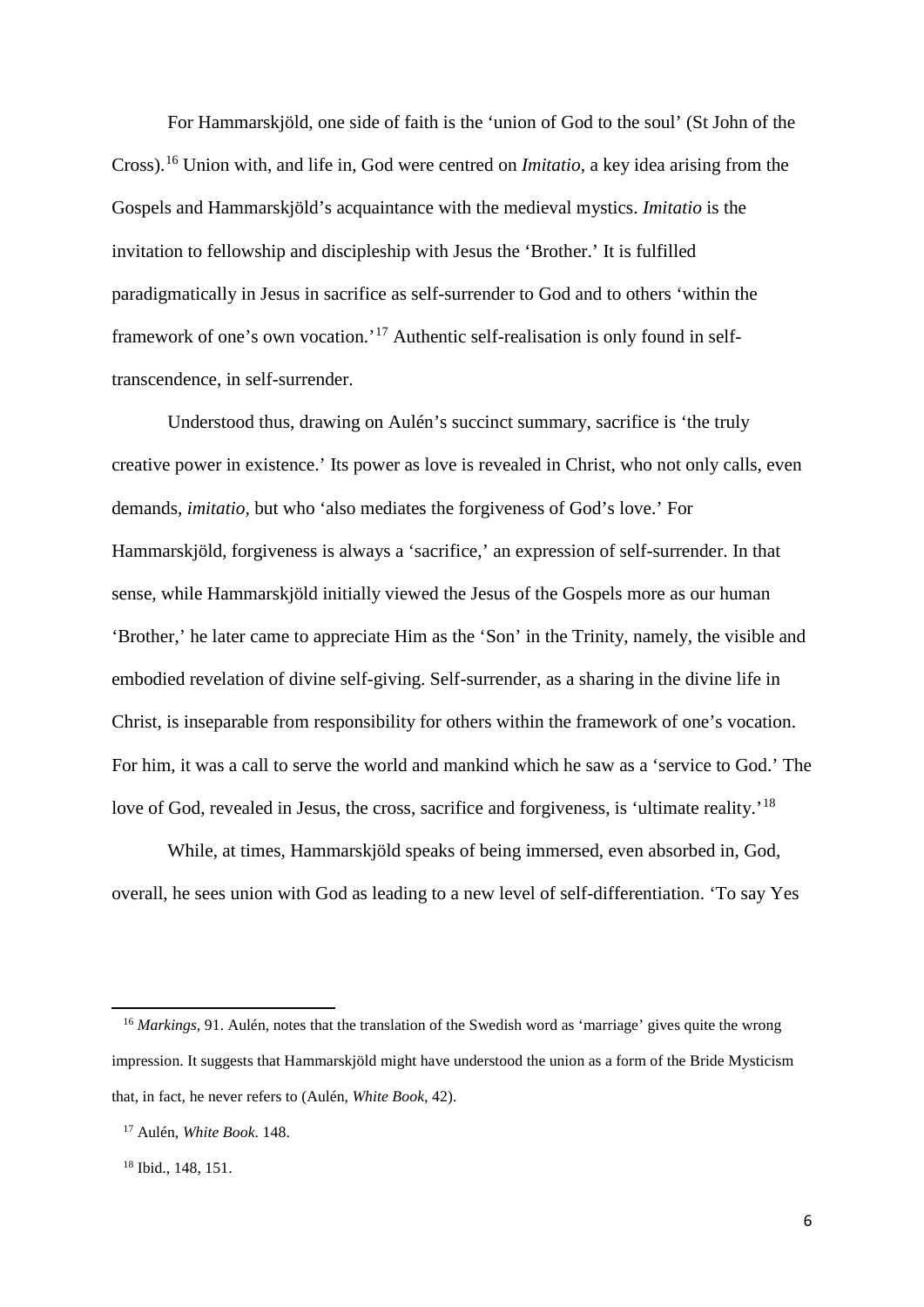For Hammarskjöld, one side of faith is the 'union of God to the soul' (St John of the Cross).[16](#page-7-0) Union with, and life in, God were centred on *Imitatio*, a key idea arising from the Gospels and Hammarskjöld's acquaintance with the medieval mystics. *Imitatio* is the invitation to fellowship and discipleship with Jesus the 'Brother.' It is fulfilled paradigmatically in Jesus in sacrifice as self-surrender to God and to others 'within the framework of one's own vocation.'[17](#page-7-1) Authentic self-realisation is only found in selftranscendence, in self-surrender.

Understood thus, drawing on Aulén's succinct summary, sacrifice is 'the truly creative power in existence.' Its power as love is revealed in Christ, who not only calls, even demands, *imitatio,* but who 'also mediates the forgiveness of God's love.' For Hammarskjöld, forgiveness is always a 'sacrifice,' an expression of self-surrender. In that sense, while Hammarskjöld initially viewed the Jesus of the Gospels more as our human 'Brother,' he later came to appreciate Him as the 'Son' in the Trinity, namely, the visible and embodied revelation of divine self-giving. Self-surrender, as a sharing in the divine life in Christ, is inseparable from responsibility for others within the framework of one's vocation. For him, it was a call to serve the world and mankind which he saw as a 'service to God.' The love of God, revealed in Jesus, the cross, sacrifice and forgiveness, is 'ultimate reality.'<sup>18</sup>

While, at times, Hammarskjöld speaks of being immersed, even absorbed in, God, overall, he sees union with God as leading to a new level of self-differentiation. 'To say Yes

<span id="page-7-0"></span><sup>&</sup>lt;sup>16</sup> *Markings*, 91. Aulén, notes that the translation of the Swedish word as 'marriage' gives quite the wrong impression. It suggests that Hammarskjöld might have understood the union as a form of the Bride Mysticism that, in fact, he never refers to (Aulén, *White Book,* 42).

<span id="page-7-1"></span> <sup>17</sup> Aulén, *White Book*. 148.

<span id="page-7-2"></span> <sup>18</sup> Ibid., 148, 151.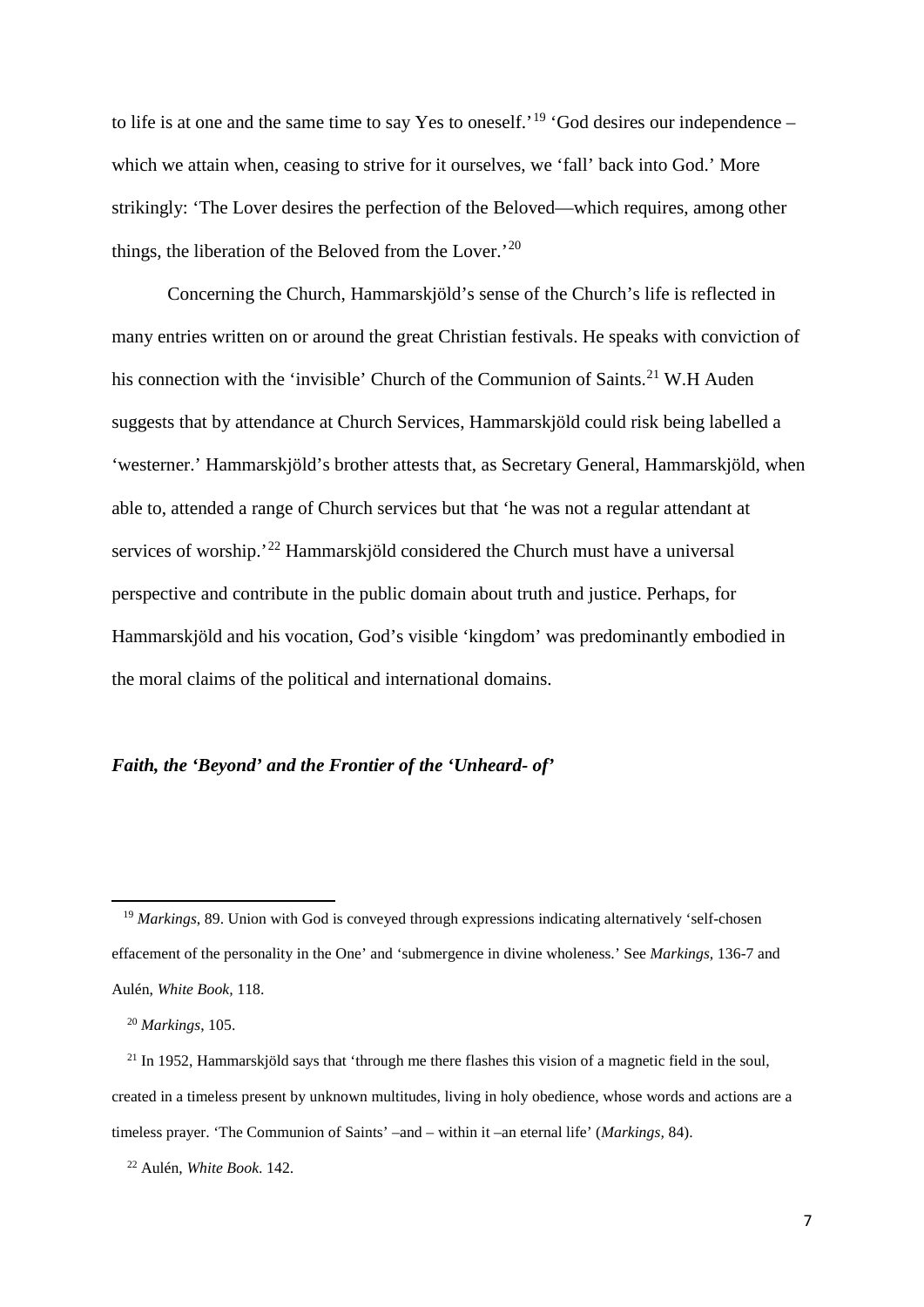to life is at one and the same time to say Yes to oneself.<sup>'[19](#page-8-0)</sup> 'God desires our independence – which we attain when, ceasing to strive for it ourselves, we 'fall' back into God.' More strikingly: 'The Lover desires the perfection of the Beloved—which requires, among other things, the liberation of the Beloved from the Lover.'[20](#page-8-1)

Concerning the Church, Hammarskjöld's sense of the Church's life is reflected in many entries written on or around the great Christian festivals. He speaks with conviction of his connection with the 'invisible' Church of the Communion of Saints.<sup>[21](#page-8-2)</sup> W.H Auden suggests that by attendance at Church Services, Hammarskjöld could risk being labelled a 'westerner.' Hammarskjöld's brother attests that, as Secretary General, Hammarskjöld, when able to, attended a range of Church services but that 'he was not a regular attendant at services of worship.<sup>'[22](#page-8-3)</sup> Hammarskjöld considered the Church must have a universal perspective and contribute in the public domain about truth and justice. Perhaps, for Hammarskjöld and his vocation, God's visible 'kingdom' was predominantly embodied in the moral claims of the political and international domains.

## *Faith, the 'Beyond' and the Frontier of the 'Unheard- of'*

1

<span id="page-8-0"></span><sup>&</sup>lt;sup>19</sup> Markings, 89. Union with God is conveyed through expressions indicating alternatively 'self-chosen effacement of the personality in the One' and 'submergence in divine wholeness.' See *Markings,* 136-7 and Aulén, *White Book,* 118.

 <sup>20</sup> *Markings*, 105.

<span id="page-8-2"></span><span id="page-8-1"></span> $21$  In 1952, Hammarskjöld says that 'through me there flashes this vision of a magnetic field in the soul, created in a timeless present by unknown multitudes, living in holy obedience, whose words and actions are a timeless prayer. 'The Communion of Saints' –and – within it –an eternal life' (*Markings,* 84).

<span id="page-8-3"></span> <sup>22</sup> Aulén, *White Book*. 142.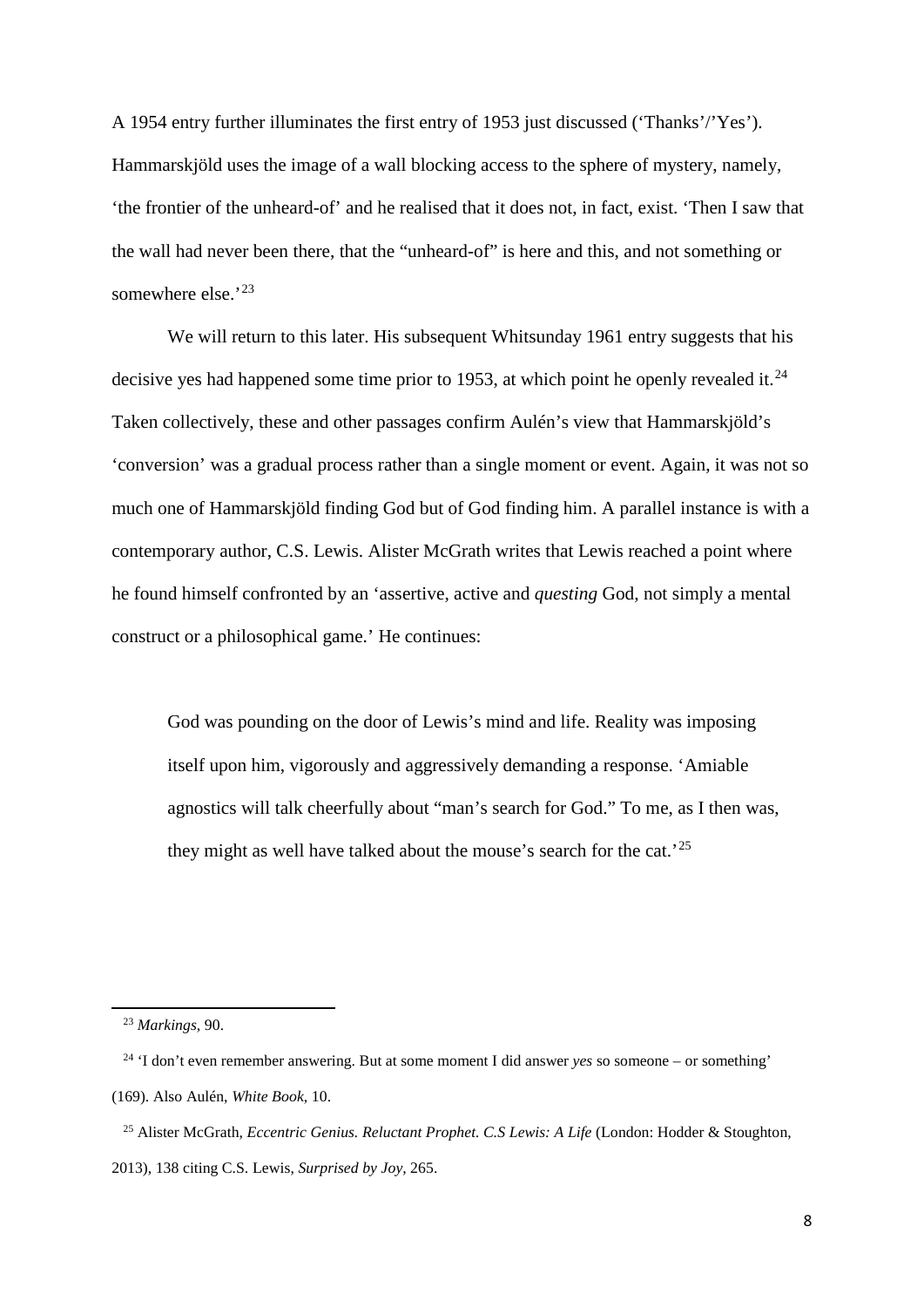A 1954 entry further illuminates the first entry of 1953 just discussed ('Thanks'/'Yes'). Hammarskjöld uses the image of a wall blocking access to the sphere of mystery, namely, 'the frontier of the unheard-of' and he realised that it does not, in fact, exist. 'Then I saw that the wall had never been there, that the "unheard-of" is here and this, and not something or somewhere else.<sup>'23</sup>

We will return to this later. His subsequent Whitsunday 1961 entry suggests that his decisive yes had happened some time prior to 1953, at which point he openly revealed it.<sup>[24](#page-9-1)</sup> Taken collectively, these and other passages confirm Aulén's view that Hammarskjöld's 'conversion' was a gradual process rather than a single moment or event. Again, it was not so much one of Hammarskjöld finding God but of God finding him. A parallel instance is with a contemporary author, C.S. Lewis. Alister McGrath writes that Lewis reached a point where he found himself confronted by an 'assertive, active and *questing* God, not simply a mental construct or a philosophical game.' He continues:

God was pounding on the door of Lewis's mind and life. Reality was imposing itself upon him, vigorously and aggressively demanding a response. 'Amiable agnostics will talk cheerfully about "man's search for God." To me, as I then was, they might as well have talked about the mouse's search for the cat.<sup>[25](#page-9-2)</sup>

 <sup>23</sup> *Markings*, 90.

<span id="page-9-1"></span><span id="page-9-0"></span> <sup>24</sup> 'I don't even remember answering. But at some moment I did answer *yes* so someone – or something' (169). Also Aulén, *White Book*, 10.

<span id="page-9-2"></span> <sup>25</sup> Alister McGrath, *Eccentric Genius. Reluctant Prophet. C.S Lewis: A Life* (London: Hodder & Stoughton, 2013), 138 citing C.S. Lewis, *Surprised by Joy,* 265.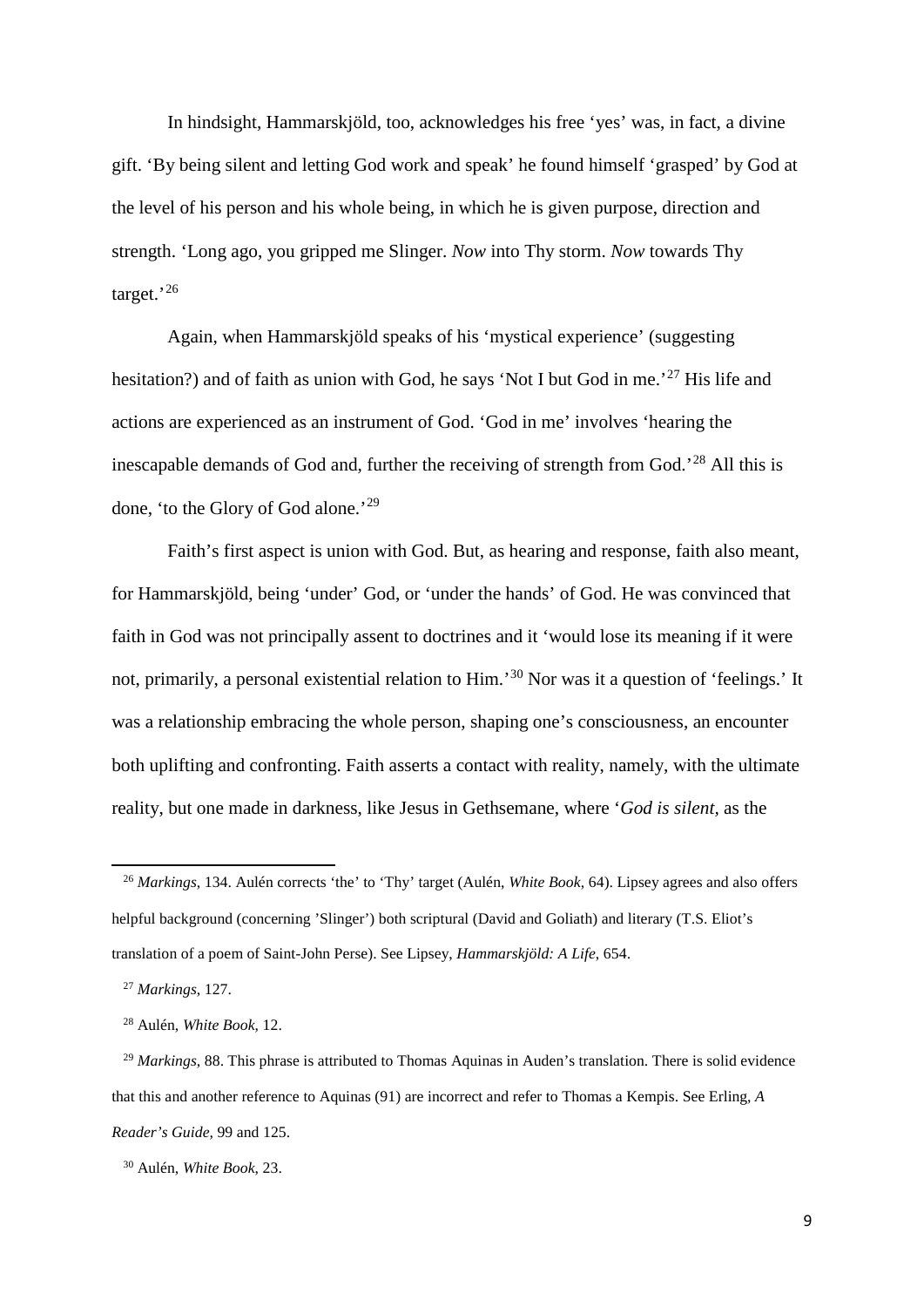In hindsight, Hammarskjöld, too, acknowledges his free 'yes' was, in fact, a divine gift. 'By being silent and letting God work and speak' he found himself 'grasped' by God at the level of his person and his whole being, in which he is given purpose, direction and strength. 'Long ago, you gripped me Slinger. *Now* into Thy storm. *Now* towards Thy target.'<sup>[26](#page-10-0)</sup>

Again, when Hammarskjöld speaks of his 'mystical experience' (suggesting hesitation?) and of faith as union with God, he says 'Not I but God in me.<sup>[27](#page-10-1)</sup> His life and actions are experienced as an instrument of God. 'God in me' involves 'hearing the inescapable demands of God and, further the receiving of strength from God.'[28](#page-10-2) All this is done, 'to the Glory of God alone.'[29](#page-10-3)

Faith's first aspect is union with God. But, as hearing and response, faith also meant, for Hammarskjöld, being 'under' God, or 'under the hands' of God. He was convinced that faith in God was not principally assent to doctrines and it 'would lose its meaning if it were not, primarily, a personal existential relation to Him.'<sup>[30](#page-10-4)</sup> Nor was it a question of 'feelings.' It was a relationship embracing the whole person, shaping one's consciousness, an encounter both uplifting and confronting. Faith asserts a contact with reality, namely, with the ultimate reality, but one made in darkness, like Jesus in Gethsemane, where '*God is silent,* as the

**.** 

<span id="page-10-0"></span> <sup>26</sup> *Markings*, 134. Aulén corrects 'the' to 'Thy' target (Aulén, *White Book*, 64). Lipsey agrees and also offers helpful background (concerning 'Slinger') both scriptural (David and Goliath) and literary (T.S. Eliot's translation of a poem of Saint-John Perse). See Lipsey, *Hammarskjöld: A Life*, 654.

<span id="page-10-1"></span> <sup>27</sup> *Markings*, 127.

 <sup>28</sup> Aulén, *White Book*, 12.

<span id="page-10-3"></span><span id="page-10-2"></span><sup>&</sup>lt;sup>29</sup> *Markings*, 88. This phrase is attributed to Thomas Aquinas in Auden's translation. There is solid evidence that this and another reference to Aquinas (91) are incorrect and refer to Thomas a Kempis. See Erling, *A Reader's Guide,* 99 and 125.

<span id="page-10-4"></span> <sup>30</sup> Aulén, *White Book*, 23.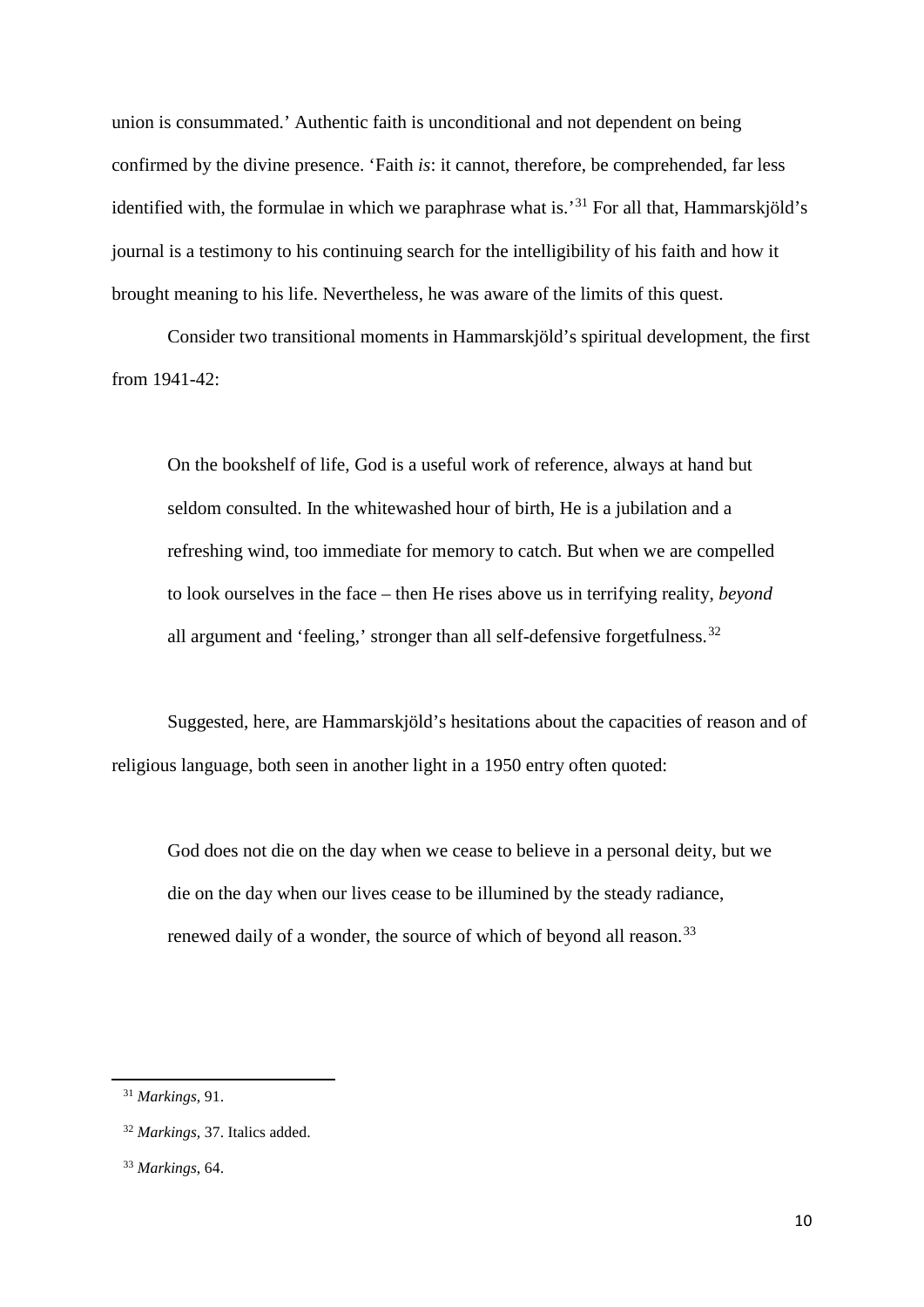union is consummated.' Authentic faith is unconditional and not dependent on being confirmed by the divine presence. 'Faith *is*: it cannot, therefore, be comprehended, far less identified with, the formulae in which we paraphrase what is.<sup>[31](#page-11-0)</sup> For all that, Hammarskjöld's journal is a testimony to his continuing search for the intelligibility of his faith and how it brought meaning to his life. Nevertheless, he was aware of the limits of this quest.

Consider two transitional moments in Hammarskjöld's spiritual development, the first from 1941-42:

On the bookshelf of life, God is a useful work of reference, always at hand but seldom consulted. In the whitewashed hour of birth, He is a jubilation and a refreshing wind, too immediate for memory to catch. But when we are compelled to look ourselves in the face – then He rises above us in terrifying reality, *beyond* all argument and 'feeling,' stronger than all self-defensive forgetfulness.<sup>[32](#page-11-1)</sup>

Suggested, here, are Hammarskjöld's hesitations about the capacities of reason and of religious language, both seen in another light in a 1950 entry often quoted:

God does not die on the day when we cease to believe in a personal deity, but we die on the day when our lives cease to be illumined by the steady radiance, renewed daily of a wonder, the source of which of beyond all reason.<sup>[33](#page-11-2)</sup>

<span id="page-11-0"></span>**.** 

 <sup>31</sup> *Markings*, 91.

<span id="page-11-1"></span> <sup>32</sup> *Markings,* 37. Italics added.

<span id="page-11-2"></span> <sup>33</sup> *Markings*, 64.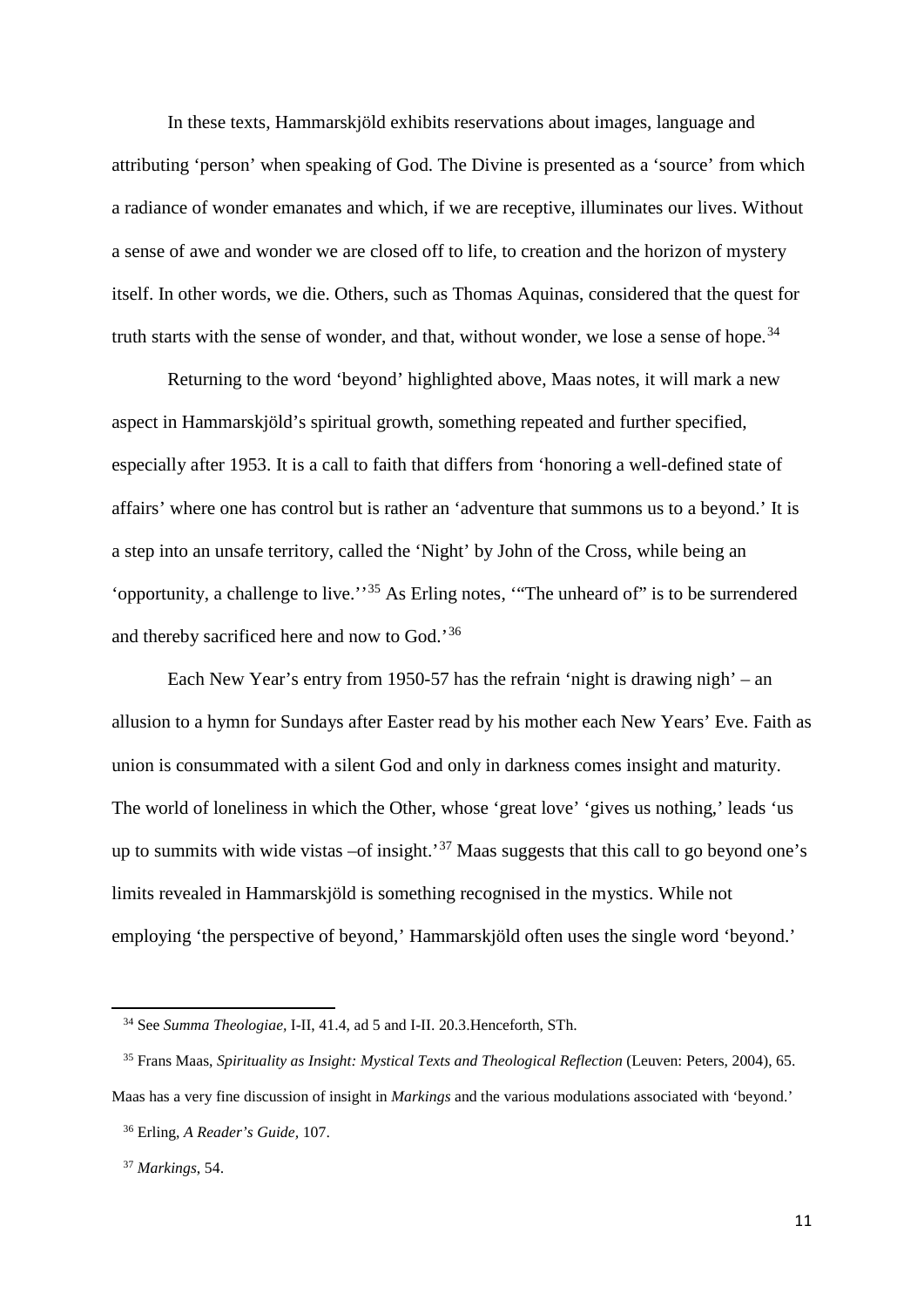In these texts, Hammarskjöld exhibits reservations about images, language and attributing 'person' when speaking of God. The Divine is presented as a 'source' from which a radiance of wonder emanates and which, if we are receptive, illuminates our lives. Without a sense of awe and wonder we are closed off to life, to creation and the horizon of mystery itself. In other words, we die. Others, such as Thomas Aquinas, considered that the quest for truth starts with the sense of wonder, and that, without wonder, we lose a sense of hope.<sup>[34](#page-12-0)</sup>

Returning to the word 'beyond' highlighted above, Maas notes, it will mark a new aspect in Hammarskjöld's spiritual growth, something repeated and further specified, especially after 1953. It is a call to faith that differs from 'honoring a well-defined state of affairs' where one has control but is rather an 'adventure that summons us to a beyond.' It is a step into an unsafe territory, called the 'Night' by John of the Cross, while being an 'opportunity, a challenge to live."<sup>[35](#page-12-1)</sup> As Erling notes, "The unheard of" is to be surrendered and thereby sacrificed here and now to God.'[36](#page-12-2)

Each New Year's entry from 1950-57 has the refrain 'night is drawing nigh' – an allusion to a hymn for Sundays after Easter read by his mother each New Years' Eve. Faith as union is consummated with a silent God and only in darkness comes insight and maturity. The world of loneliness in which the Other, whose 'great love' 'gives us nothing,' leads 'us up to summits with wide vistas –of insight.<sup>[37](#page-12-3)</sup> Maas suggests that this call to go beyond one's limits revealed in Hammarskjöld is something recognised in the mystics. While not employing 'the perspective of beyond,' Hammarskjöld often uses the single word 'beyond.'

 <sup>34</sup> See *Summa Theologiae,* I-II, 41.4, ad 5 and I-II. 20.3.Henceforth, STh.

<span id="page-12-1"></span><span id="page-12-0"></span> <sup>35</sup> Frans Maas, *Spirituality as Insight: Mystical Texts and Theological Reflection* (Leuven: Peters, 2004), 65. Maas has a very fine discussion of insight in *Markings* and the various modulations associated with 'beyond.'

<span id="page-12-2"></span> <sup>36</sup> Erling, *A Reader's Guide,* 107.

<span id="page-12-3"></span> <sup>37</sup> *Markings*, 54.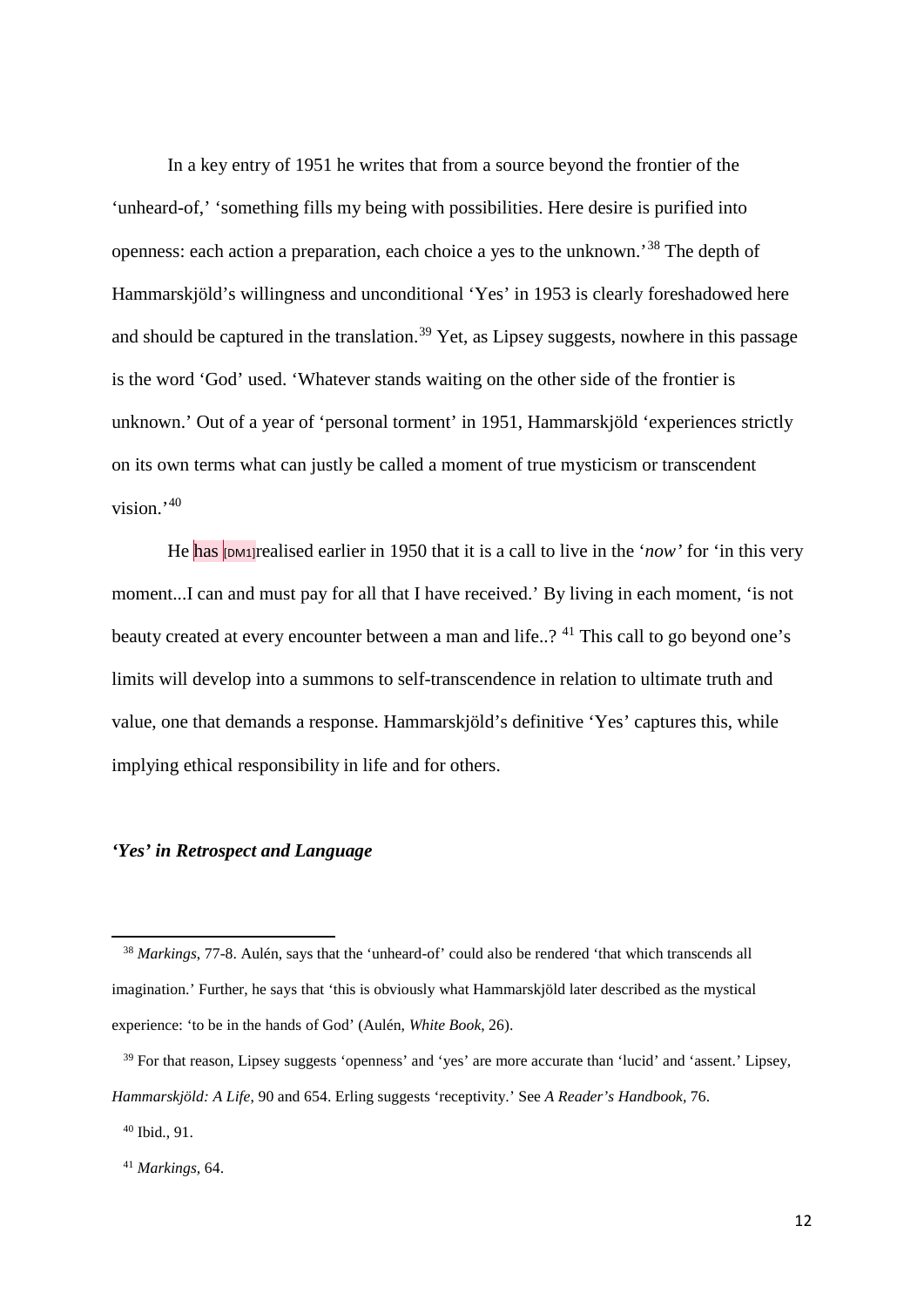In a key entry of 1951 he writes that from a source beyond the frontier of the 'unheard-of,' 'something fills my being with possibilities. Here desire is purified into openness: each action a preparation, each choice a yes to the unknown.<sup>[38](#page-13-0)</sup> The depth of Hammarskjöld's willingness and unconditional 'Yes' in 1953 is clearly foreshadowed here and should be captured in the translation.<sup>[39](#page-13-1)</sup> Yet, as Lipsey suggests, nowhere in this passage is the word 'God' used. 'Whatever stands waiting on the other side of the frontier is unknown.' Out of a year of 'personal torment' in 1951, Hammarskjöld 'experiences strictly on its own terms what can justly be called a moment of true mysticism or transcendent vision.'[40](#page-13-2)

He has **[DM1]** realised earlier in 1950 that it is a call to live in the '*now*' for 'in this very moment...I can and must pay for all that I have received.' By living in each moment, 'is not beauty created at every encounter between a man and life..? <sup>[41](#page-13-3)</sup> This call to go beyond one's limits will develop into a summons to self-transcendence in relation to ultimate truth and value, one that demands a response. Hammarskjöld's definitive 'Yes' captures this, while implying ethical responsibility in life and for others.

#### *'Yes' in Retrospect and Language*

<span id="page-13-0"></span> <sup>38</sup> *Markings*, 77-8. Aulén, says that the 'unheard-of' could also be rendered 'that which transcends all imagination.' Further, he says that 'this is obviously what Hammarskjöld later described as the mystical experience: 'to be in the hands of God' (Aulén, *White Book*, 26).

<span id="page-13-1"></span><sup>&</sup>lt;sup>39</sup> For that reason, Lipsey suggests 'openness' and 'yes' are more accurate than 'lucid' and 'assent.' Lipsey, *Hammarskjöld: A Life*, 90 and 654. Erling suggests 'receptivity.' See *A Reader's Handbook,* 76.

<span id="page-13-2"></span> <sup>40</sup> Ibid., 91.

<span id="page-13-3"></span> <sup>41</sup> *Markings,* 64.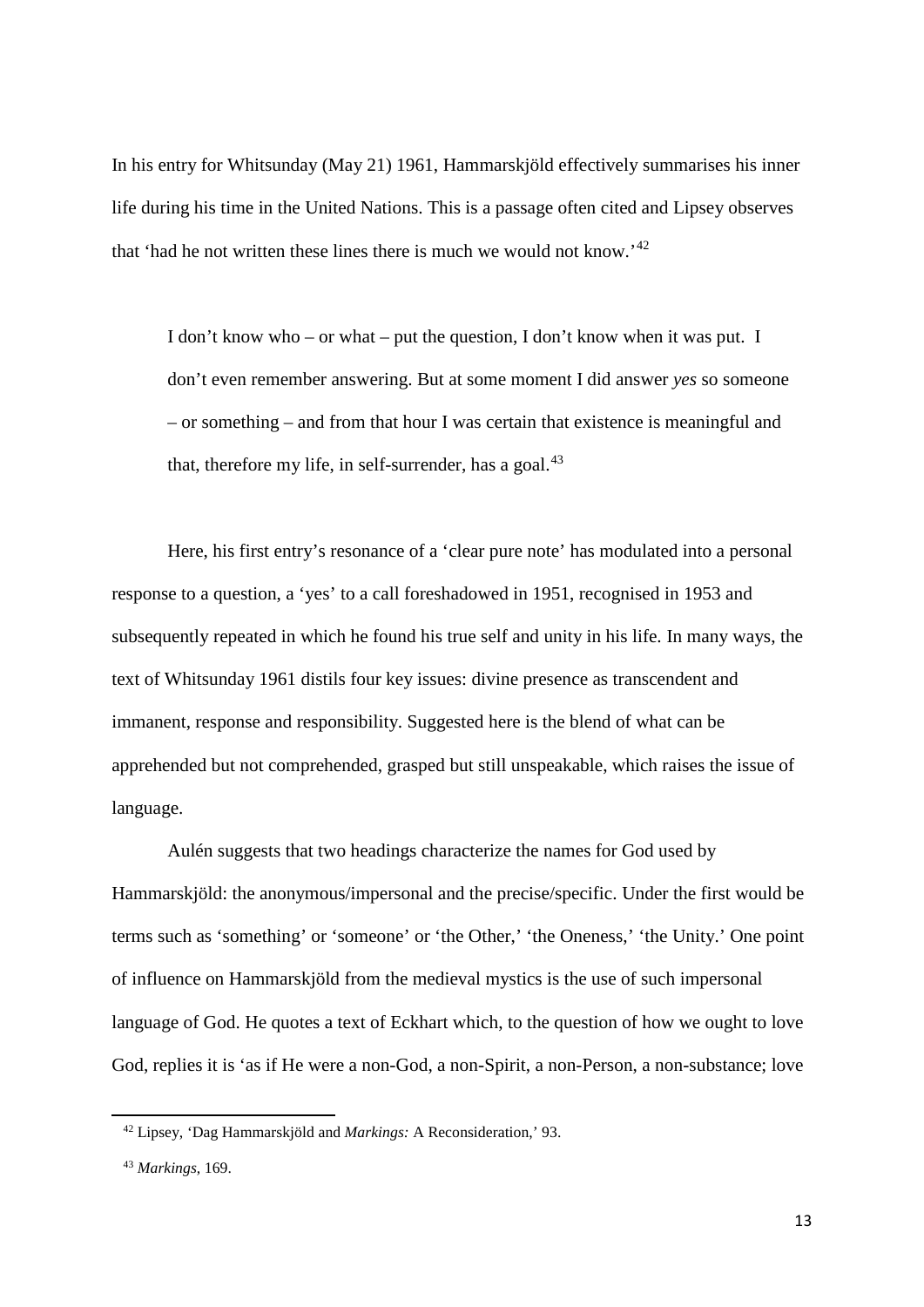In his entry for Whitsunday (May 21) 1961, Hammarskjöld effectively summarises his inner life during his time in the United Nations. This is a passage often cited and Lipsey observes that 'had he not written these lines there is much we would not know.'[42](#page-14-0)

I don't know who – or what – put the question, I don't know when it was put. I don't even remember answering. But at some moment I did answer *yes* so someone – or something – and from that hour I was certain that existence is meaningful and that, therefore my life, in self-surrender, has a goal.<sup>[43](#page-14-1)</sup>

Here, his first entry's resonance of a 'clear pure note' has modulated into a personal response to a question, a 'yes' to a call foreshadowed in 1951, recognised in 1953 and subsequently repeated in which he found his true self and unity in his life. In many ways, the text of Whitsunday 1961 distils four key issues: divine presence as transcendent and immanent, response and responsibility. Suggested here is the blend of what can be apprehended but not comprehended, grasped but still unspeakable, which raises the issue of language.

Aulén suggests that two headings characterize the names for God used by Hammarskjöld: the anonymous/impersonal and the precise/specific. Under the first would be terms such as 'something' or 'someone' or 'the Other,' 'the Oneness,' 'the Unity.' One point of influence on Hammarskjöld from the medieval mystics is the use of such impersonal language of God. He quotes a text of Eckhart which, to the question of how we ought to love God, replies it is 'as if He were a non-God, a non-Spirit, a non-Person, a non-substance; love

<span id="page-14-0"></span> <sup>42</sup> Lipsey, 'Dag Hammarskjöld and *Markings:* A Reconsideration,' 93.

<span id="page-14-1"></span> <sup>43</sup> *Markings*, 169.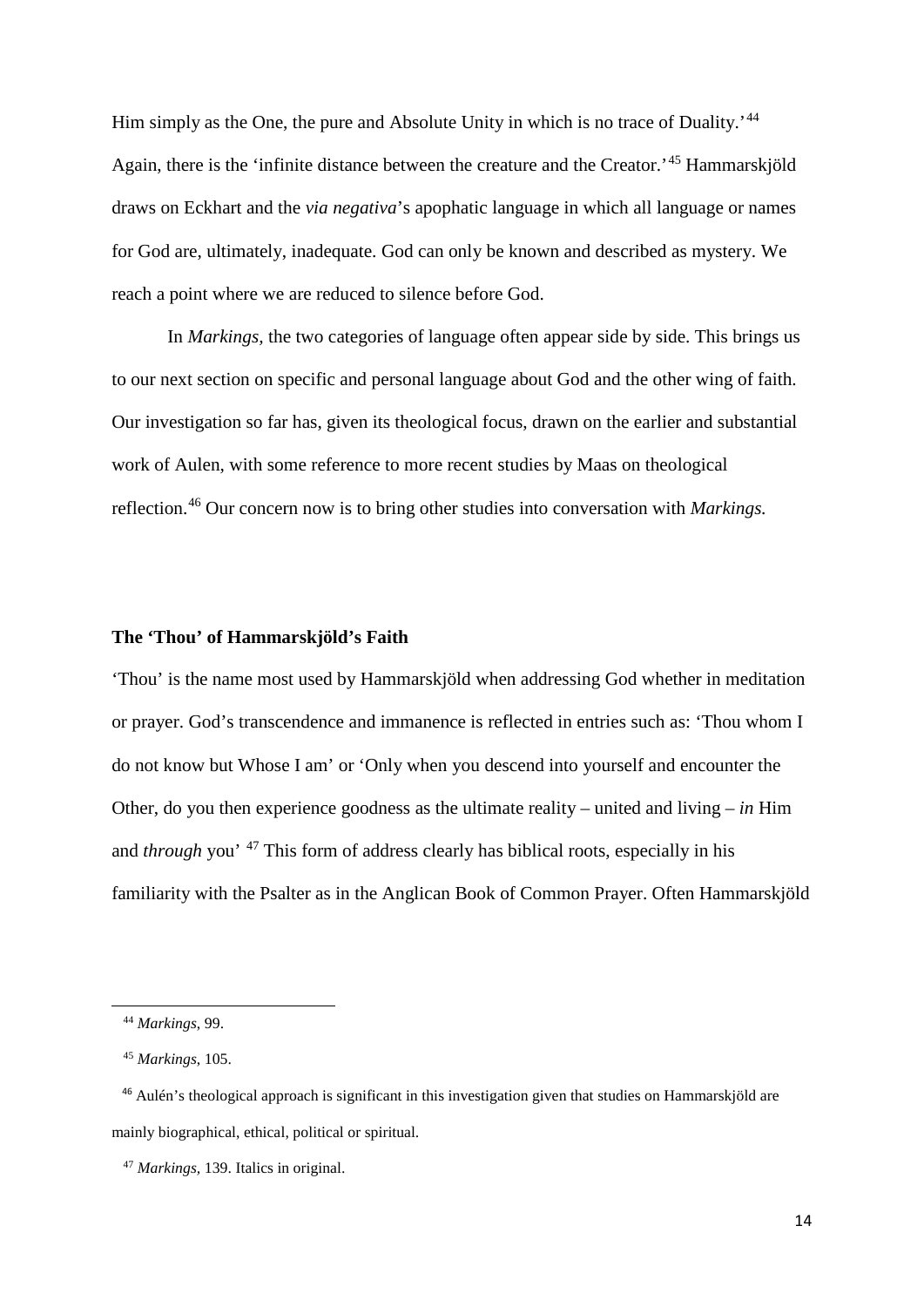Him simply as the One, the pure and Absolute Unity in which is no trace of Duality.<sup>'[44](#page-15-0)</sup> Again, there is the 'infinite distance between the creature and the Creator.<sup>[45](#page-15-1)</sup> Hammarskiöld draws on Eckhart and the *via negativa*'s apophatic language in which all language or names for God are, ultimately, inadequate. God can only be known and described as mystery. We reach a point where we are reduced to silence before God.

In *Markings,* the two categories of language often appear side by side. This brings us to our next section on specific and personal language about God and the other wing of faith. Our investigation so far has, given its theological focus, drawn on the earlier and substantial work of Aulen, with some reference to more recent studies by Maas on theological reflection.[46](#page-15-2) Our concern now is to bring other studies into conversation with *Markings.*

### **The 'Thou' of Hammarskjöld's Faith**

'Thou' is the name most used by Hammarskjöld when addressing God whether in meditation or prayer. God's transcendence and immanence is reflected in entries such as: 'Thou whom I do not know but Whose I am' or 'Only when you descend into yourself and encounter the Other, do you then experience goodness as the ultimate reality – united and living – *in* Him and *through* you' [47](#page-15-3) This form of address clearly has biblical roots, especially in his familiarity with the Psalter as in the Anglican Book of Common Prayer. Often Hammarskjöld

<span id="page-15-0"></span> <sup>44</sup> *Markings*, 99.

 <sup>45</sup> *Markings*, 105.

<span id="page-15-2"></span><span id="page-15-1"></span> <sup>46</sup> Aulén's theological approach is significant in this investigation given that studies on Hammarskjöld are mainly biographical, ethical, political or spiritual.

<span id="page-15-3"></span> <sup>47</sup> *Markings,* 139. Italics in original.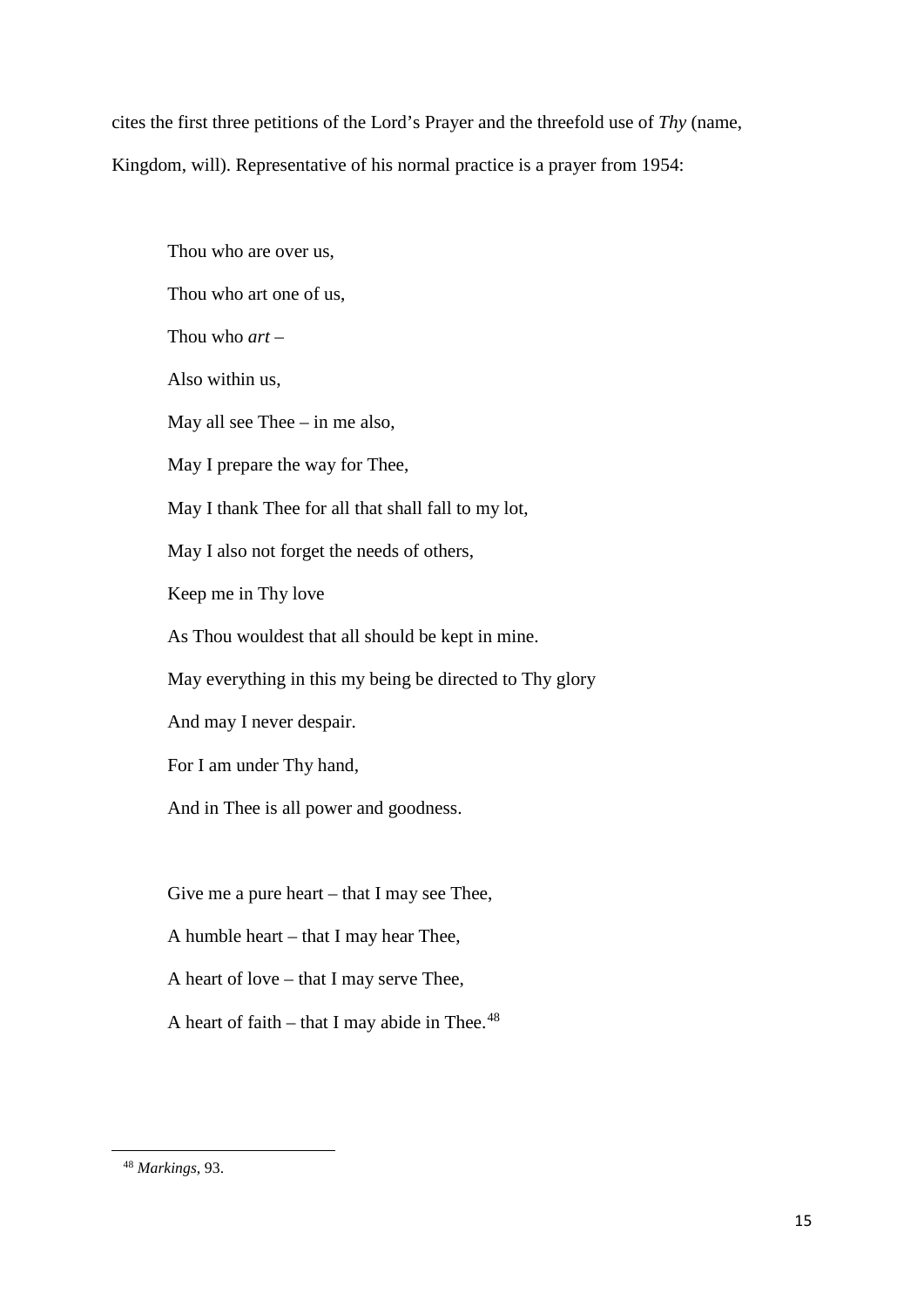cites the first three petitions of the Lord's Prayer and the threefold use of *Thy* (name, Kingdom, will). Representative of his normal practice is a prayer from 1954:

Thou who are over us, Thou who art one of us, Thou who *art* – Also within us, May all see Thee – in me also, May I prepare the way for Thee, May I thank Thee for all that shall fall to my lot, May I also not forget the needs of others, Keep me in Thy love As Thou wouldest that all should be kept in mine. May everything in this my being be directed to Thy glory And may I never despair. For I am under Thy hand, And in Thee is all power and goodness. Give me a pure heart – that I may see Thee,

A humble heart – that I may hear Thee,

A heart of love – that I may serve Thee,

A heart of faith  $-$  that I may abide in Thee.<sup>[48](#page-16-0)</sup>

<span id="page-16-0"></span> <sup>48</sup> *Markings*, 93.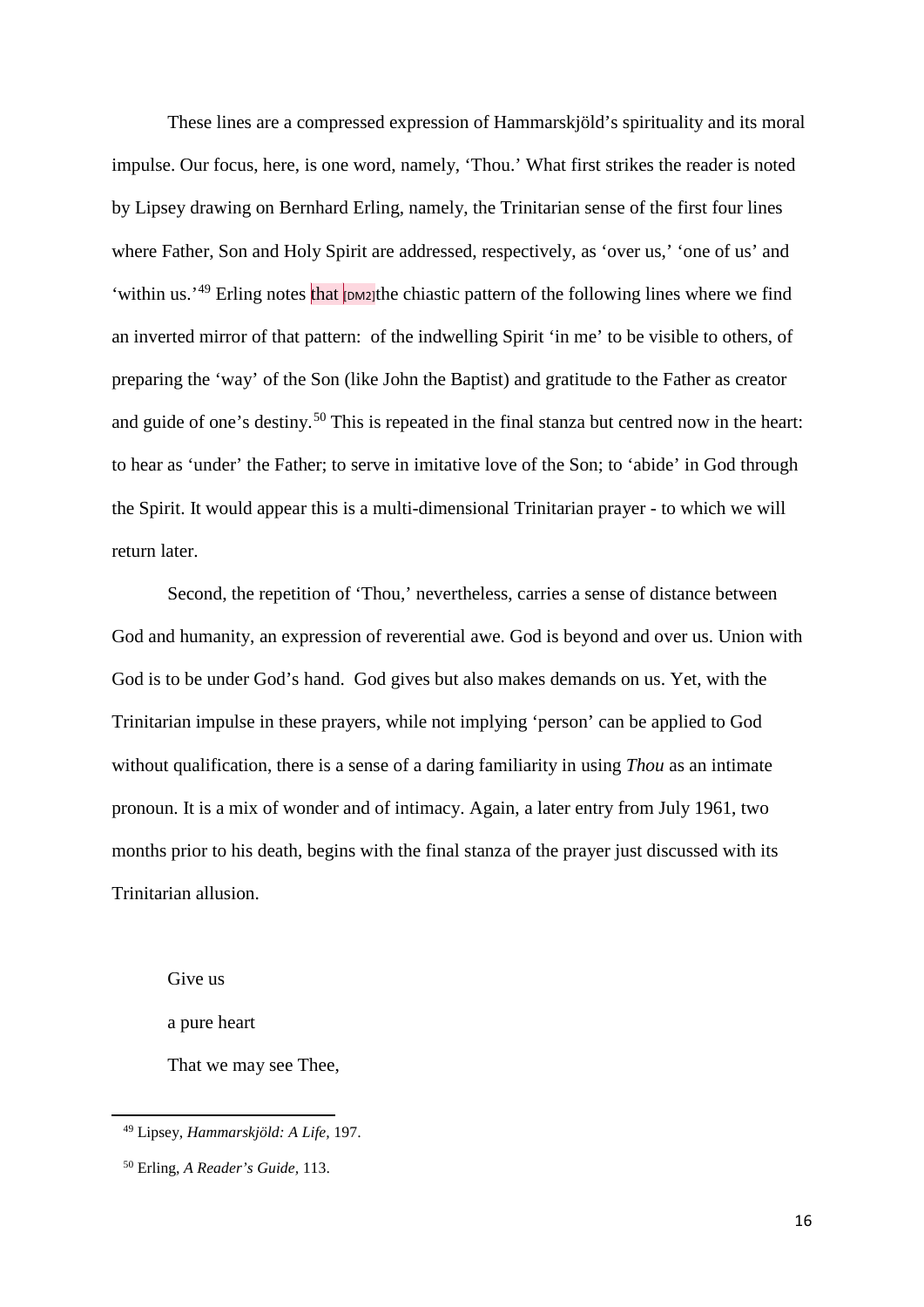These lines are a compressed expression of Hammarskjöld's spirituality and its moral impulse. Our focus, here, is one word, namely, 'Thou.' What first strikes the reader is noted by Lipsey drawing on Bernhard Erling, namely, the Trinitarian sense of the first four lines where Father, Son and Holy Spirit are addressed, respectively, as 'over us,' 'one of us' and 'within us.'<sup>[49](#page-17-0)</sup> Erling notes that **DM2**]the chiastic pattern of the following lines where we find an inverted mirror of that pattern: of the indwelling Spirit 'in me' to be visible to others, of preparing the 'way' of the Son (like John the Baptist) and gratitude to the Father as creator and guide of one's destiny.<sup>[50](#page-17-1)</sup> This is repeated in the final stanza but centred now in the heart: to hear as 'under' the Father; to serve in imitative love of the Son; to 'abide' in God through the Spirit. It would appear this is a multi-dimensional Trinitarian prayer - to which we will return later.

Second, the repetition of 'Thou,' nevertheless, carries a sense of distance between God and humanity, an expression of reverential awe. God is beyond and over us. Union with God is to be under God's hand. God gives but also makes demands on us. Yet, with the Trinitarian impulse in these prayers, while not implying 'person' can be applied to God without qualification, there is a sense of a daring familiarity in using *Thou* as an intimate pronoun. It is a mix of wonder and of intimacy. Again, a later entry from July 1961, two months prior to his death, begins with the final stanza of the prayer just discussed with its Trinitarian allusion.

Give us

<span id="page-17-0"></span> $\overline{a}$ 

a pure heart

That we may see Thee,

 <sup>49</sup> Lipsey, *Hammarskjöld: A Life,* 197.

<span id="page-17-1"></span> <sup>50</sup> Erling, *A Reader's Guide,* 113.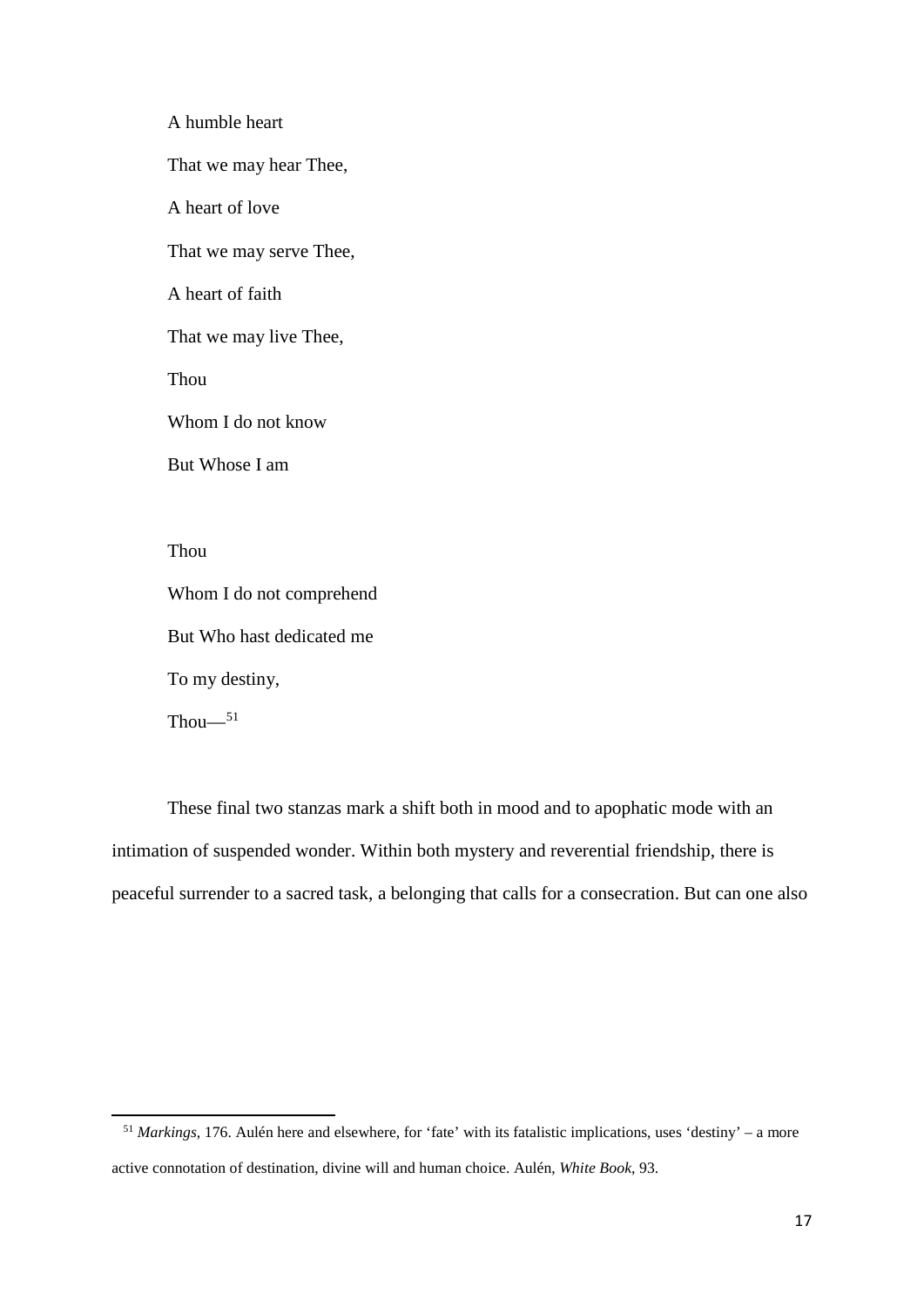A humble heart That we may hear Thee, A heart of love That we may serve Thee, A heart of faith That we may live Thee, Thou Whom I do not know But Whose I am Thou Whom I do not comprehend

But Who hast dedicated me

To my destiny,

 $Thou-<sup>51</sup>$  $Thou-<sup>51</sup>$  $Thou-<sup>51</sup>$ 

 $\overline{a}$ 

These final two stanzas mark a shift both in mood and to apophatic mode with an intimation of suspended wonder. Within both mystery and reverential friendship, there is peaceful surrender to a sacred task, a belonging that calls for a consecration. But can one also

<span id="page-18-0"></span> <sup>51</sup> *Markings*, 176. Aulén here and elsewhere, for 'fate' with its fatalistic implications, uses 'destiny' – a more active connotation of destination, divine will and human choice. Aulén, *White Book*, 93.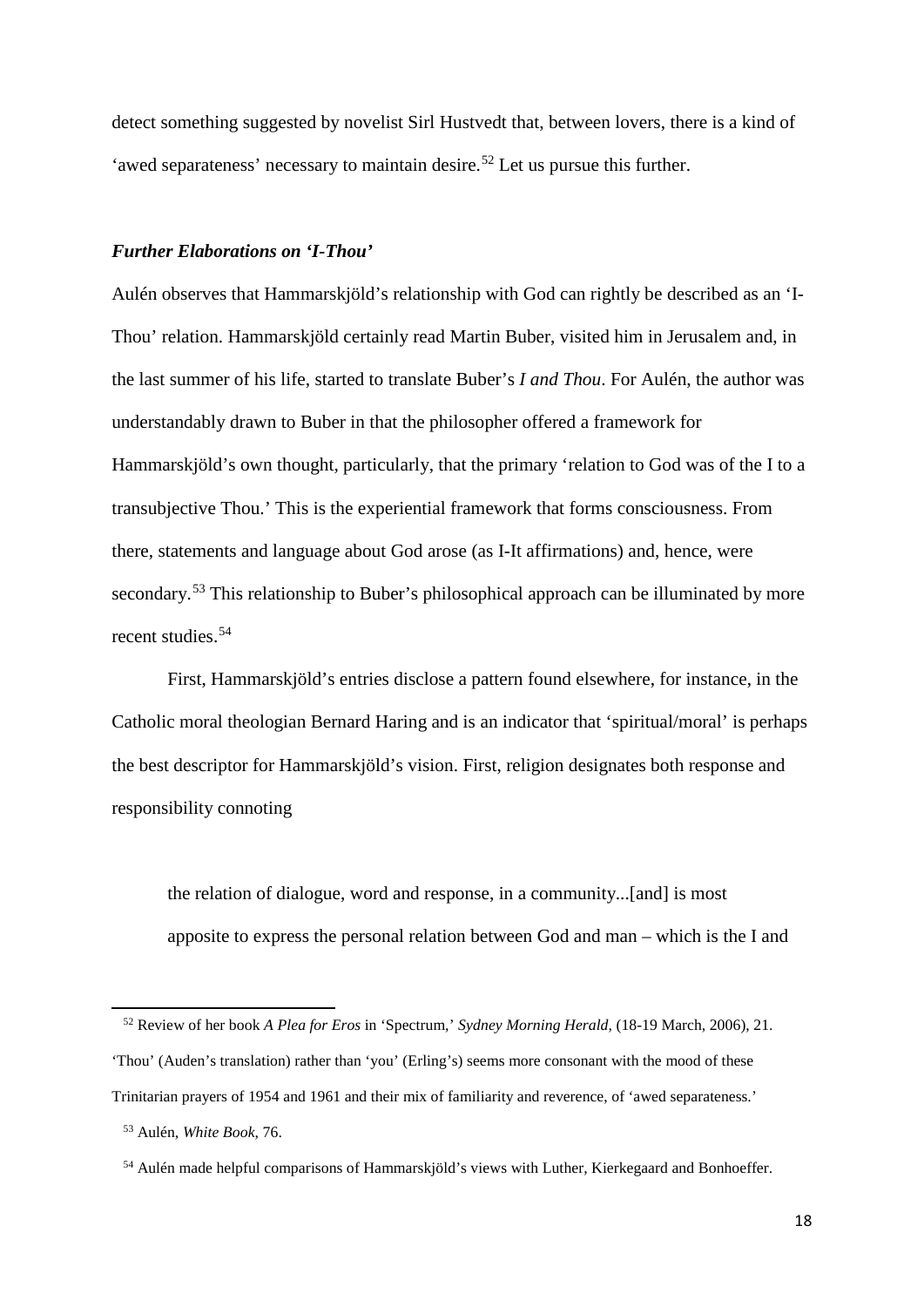detect something suggested by novelist Sirl Hustvedt that, between lovers, there is a kind of 'awed separateness' necessary to maintain desire.<sup>[52](#page-19-0)</sup> Let us pursue this further.

### *Further Elaborations on 'I-Thou'*

Aulén observes that Hammarskjöld's relationship with God can rightly be described as an 'I-Thou' relation. Hammarskjöld certainly read Martin Buber, visited him in Jerusalem and, in the last summer of his life, started to translate Buber's *I and Thou*. For Aulén, the author was understandably drawn to Buber in that the philosopher offered a framework for Hammarskjöld's own thought, particularly, that the primary 'relation to God was of the I to a transubjective Thou.' This is the experiential framework that forms consciousness. From there, statements and language about God arose (as I-It affirmations) and, hence, were secondary.<sup>[53](#page-19-1)</sup> This relationship to Buber's philosophical approach can be illuminated by more recent studies.<sup>[54](#page-19-2)</sup>

First, Hammarskjöld's entries disclose a pattern found elsewhere, for instance, in the Catholic moral theologian Bernard Haring and is an indicator that 'spiritual/moral' is perhaps the best descriptor for Hammarskjöld's vision. First, religion designates both response and responsibility connoting

the relation of dialogue, word and response, in a community...[and] is most apposite to express the personal relation between God and man – which is the I and

<span id="page-19-0"></span> <sup>52</sup> Review of her book *A Plea for Eros* in 'Spectrum,' *Sydney Morning Herald,* (18-19 March, 2006), 21. 'Thou' (Auden's translation) rather than 'you' (Erling's) seems more consonant with the mood of these Trinitarian prayers of 1954 and 1961 and their mix of familiarity and reverence, of 'awed separateness.'

<span id="page-19-1"></span> <sup>53</sup> Aulén, *White Book,* 76.

<span id="page-19-2"></span> <sup>54</sup> Aulén made helpful comparisons of Hammarskjöld's views with Luther, Kierkegaard and Bonhoeffer.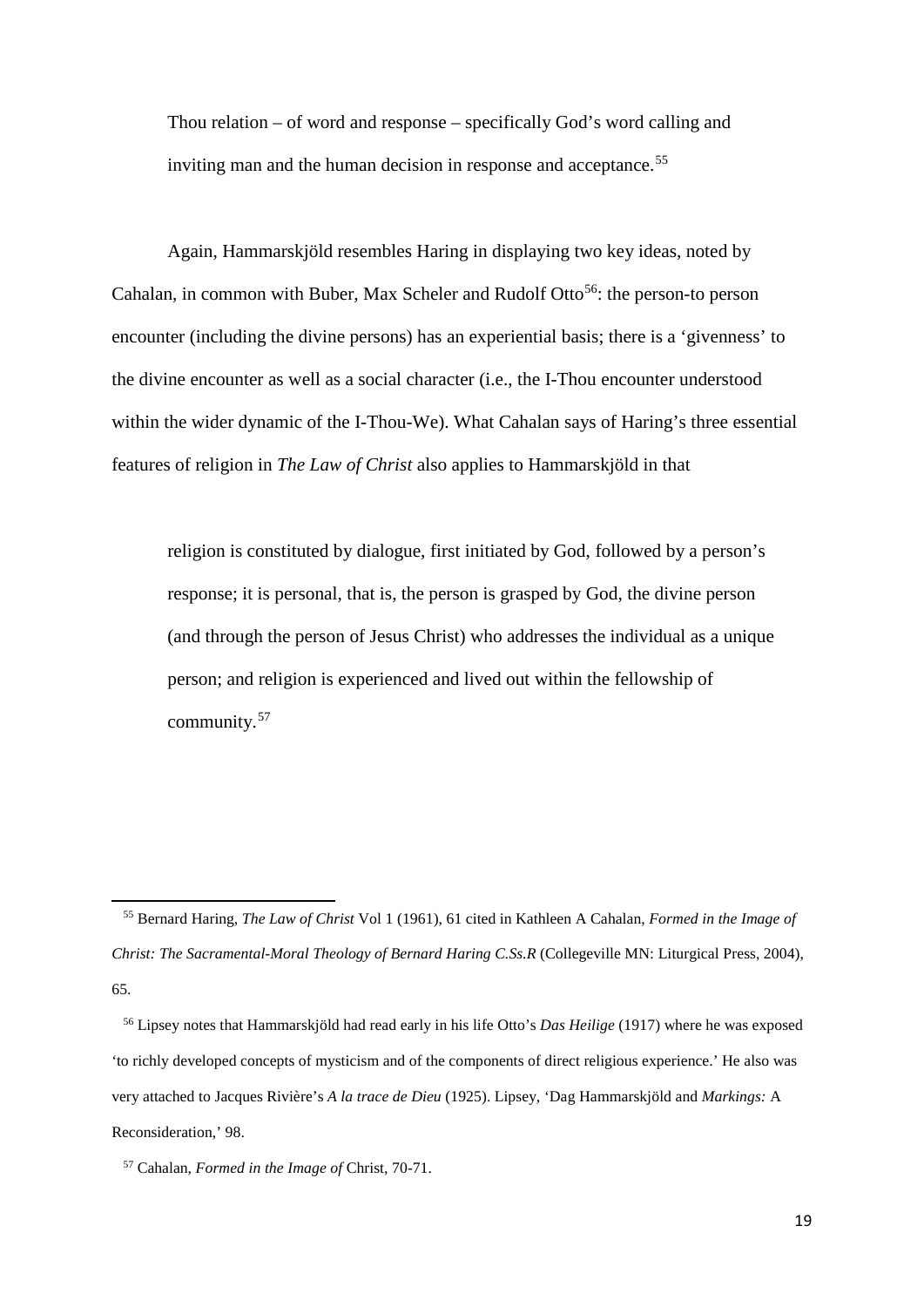Thou relation – of word and response – specifically God's word calling and inviting man and the human decision in response and acceptance.<sup>[55](#page-20-0)</sup>

Again, Hammarskjöld resembles Haring in displaying two key ideas, noted by Cahalan, in common with Buber, Max Scheler and Rudolf Otto<sup>56</sup>: the person-to person encounter (including the divine persons) has an experiential basis; there is a 'givenness' to the divine encounter as well as a social character (i.e., the I-Thou encounter understood within the wider dynamic of the I-Thou-We). What Cahalan says of Haring's three essential features of religion in *The Law of Christ* also applies to Hammarskjöld in that

religion is constituted by dialogue, first initiated by God, followed by a person's response; it is personal, that is, the person is grasped by God, the divine person (and through the person of Jesus Christ) who addresses the individual as a unique person; and religion is experienced and lived out within the fellowship of community.[57](#page-20-2)

1

<span id="page-20-0"></span> <sup>55</sup> Bernard Haring, *The Law of Christ* Vol 1 (1961), 61 cited in Kathleen A Cahalan, *Formed in the Image of Christ: The Sacramental-Moral Theology of Bernard Haring C.Ss.R* (Collegeville MN: Liturgical Press, 2004), 65.

<span id="page-20-1"></span> <sup>56</sup> Lipsey notes that Hammarskjöld had read early in his life Otto's *Das Heilige* (1917) where he was exposed 'to richly developed concepts of mysticism and of the components of direct religious experience.' He also was very attached to Jacques Rivière's *A la trace de Dieu* (1925). Lipsey, 'Dag Hammarskjöld and *Markings:* A Reconsideration,' 98.

<span id="page-20-2"></span> <sup>57</sup> Cahalan, *Formed in the Image of* Christ, 70-71.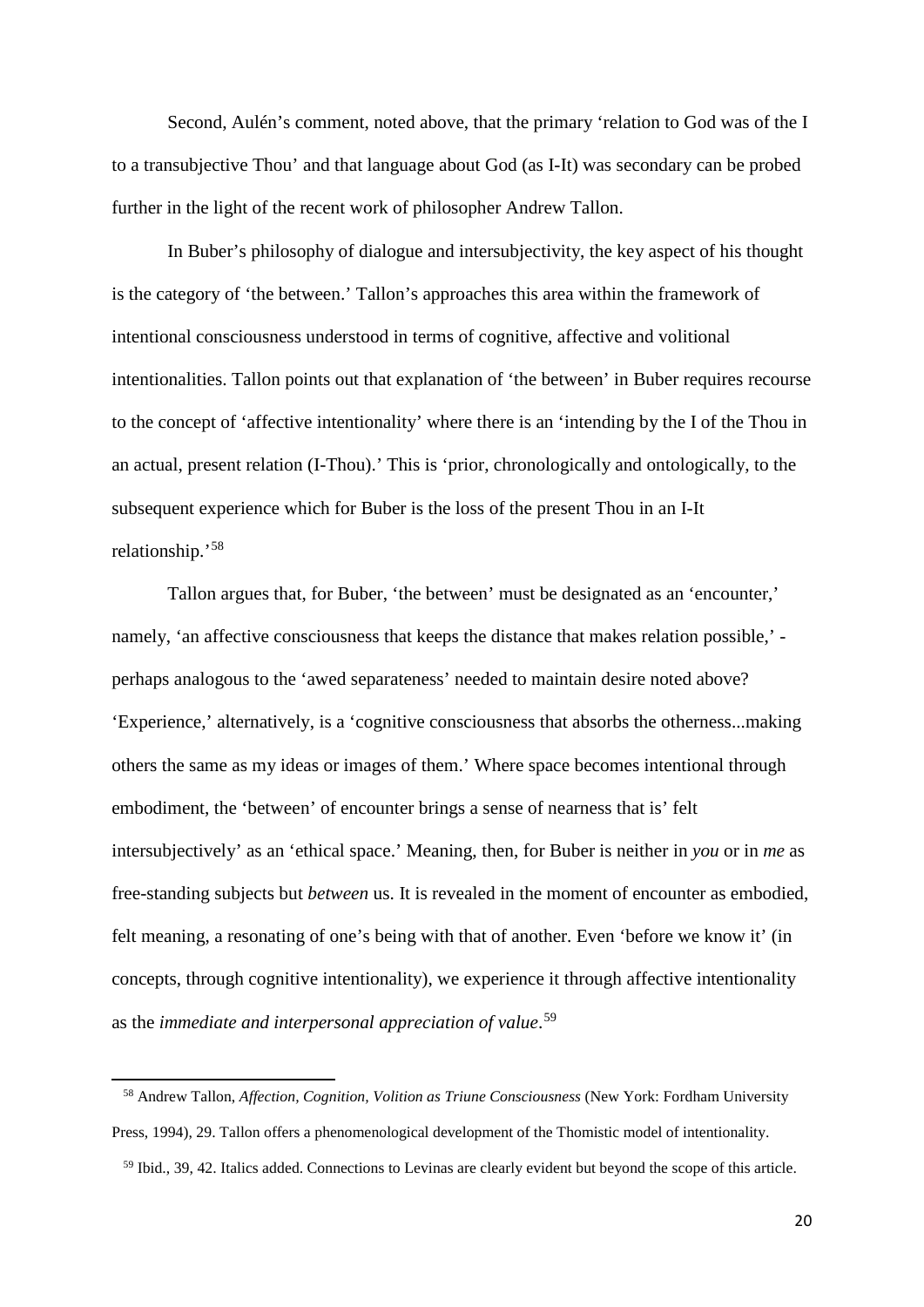Second, Aulén's comment, noted above, that the primary 'relation to God was of the I to a transubjective Thou' and that language about God (as I-It) was secondary can be probed further in the light of the recent work of philosopher Andrew Tallon.

In Buber's philosophy of dialogue and intersubjectivity, the key aspect of his thought is the category of 'the between.' Tallon's approaches this area within the framework of intentional consciousness understood in terms of cognitive, affective and volitional intentionalities. Tallon points out that explanation of 'the between' in Buber requires recourse to the concept of 'affective intentionality' where there is an 'intending by the I of the Thou in an actual, present relation (I-Thou).' This is 'prior, chronologically and ontologically, to the subsequent experience which for Buber is the loss of the present Thou in an I-It relationship.'[58](#page-21-0)

Tallon argues that, for Buber, 'the between' must be designated as an 'encounter,' namely, 'an affective consciousness that keeps the distance that makes relation possible,' perhaps analogous to the 'awed separateness' needed to maintain desire noted above? 'Experience,' alternatively, is a 'cognitive consciousness that absorbs the otherness...making others the same as my ideas or images of them.' Where space becomes intentional through embodiment, the 'between' of encounter brings a sense of nearness that is' felt intersubjectively' as an 'ethical space.' Meaning, then, for Buber is neither in *you* or in *me* as free-standing subjects but *between* us. It is revealed in the moment of encounter as embodied, felt meaning, a resonating of one's being with that of another. Even 'before we know it' (in concepts, through cognitive intentionality), we experience it through affective intentionality as the *immediate and interpersonal appreciation of value*. [59](#page-21-1)

**.** 

<span id="page-21-1"></span><span id="page-21-0"></span> <sup>58</sup> Andrew Tallon, *Affection, Cognition, Volition as Triune Consciousness* (New York: Fordham University Press, 1994), 29. Tallon offers a phenomenological development of the Thomistic model of intentionality. 59 Ibid., 39, 42. Italics added. Connections to Levinas are clearly evident but beyond the scope of this article.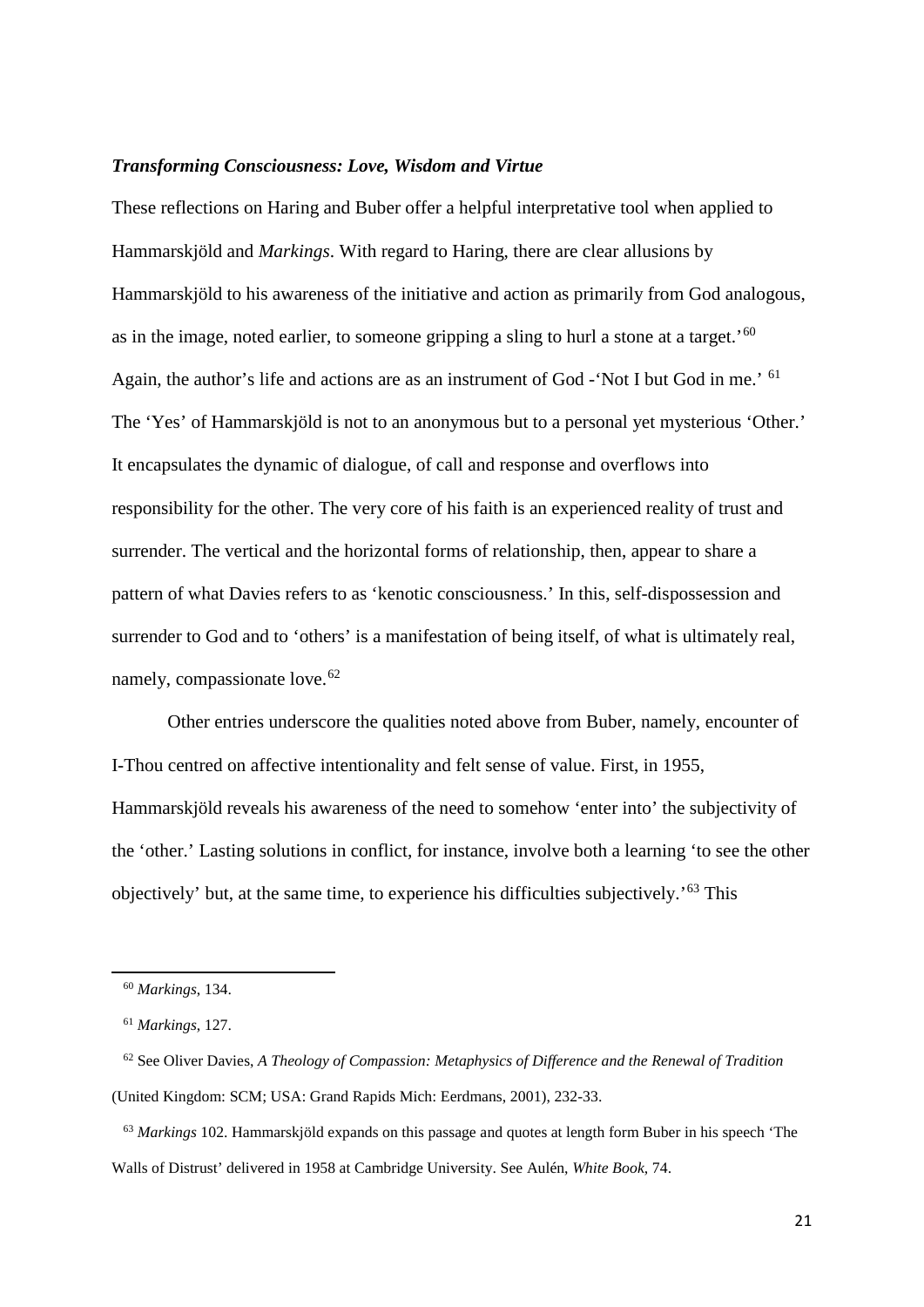#### *Transforming Consciousness: Love, Wisdom and Virtue*

These reflections on Haring and Buber offer a helpful interpretative tool when applied to Hammarskjöld and *Markings*. With regard to Haring, there are clear allusions by Hammarskjöld to his awareness of the initiative and action as primarily from God analogous, as in the image, noted earlier, to someone gripping a sling to hurl a stone at a target.'[60](#page-22-0) Again, the author's life and actions are as an instrument of God -'Not I but God in me.' [61](#page-22-1) The 'Yes' of Hammarskjöld is not to an anonymous but to a personal yet mysterious 'Other.' It encapsulates the dynamic of dialogue, of call and response and overflows into responsibility for the other. The very core of his faith is an experienced reality of trust and surrender. The vertical and the horizontal forms of relationship, then, appear to share a pattern of what Davies refers to as 'kenotic consciousness.' In this, self-dispossession and surrender to God and to 'others' is a manifestation of being itself, of what is ultimately real, namely, compassionate love.<sup>[62](#page-22-2)</sup>

Other entries underscore the qualities noted above from Buber, namely, encounter of I-Thou centred on affective intentionality and felt sense of value. First, in 1955, Hammarskjöld reveals his awareness of the need to somehow 'enter into' the subjectivity of the 'other.' Lasting solutions in conflict, for instance, involve both a learning 'to see the other objectively' but, at the same time, to experience his difficulties subjectively.'[63](#page-22-3) This

<span id="page-22-0"></span>**.** 

 <sup>60</sup> *Markings*, 134.

 <sup>61</sup> *Markings*, 127.

<span id="page-22-2"></span><span id="page-22-1"></span> <sup>62</sup> See Oliver Davies, *A Theology of Compassion: Metaphysics of Difference and the Renewal of Tradition* (United Kingdom: SCM; USA: Grand Rapids Mich: Eerdmans, 2001), 232-33.

<span id="page-22-3"></span> <sup>63</sup> *Markings* 102. Hammarskjöld expands on this passage and quotes at length form Buber in his speech 'The Walls of Distrust' delivered in 1958 at Cambridge University. See Aulén, *White Book*, 74.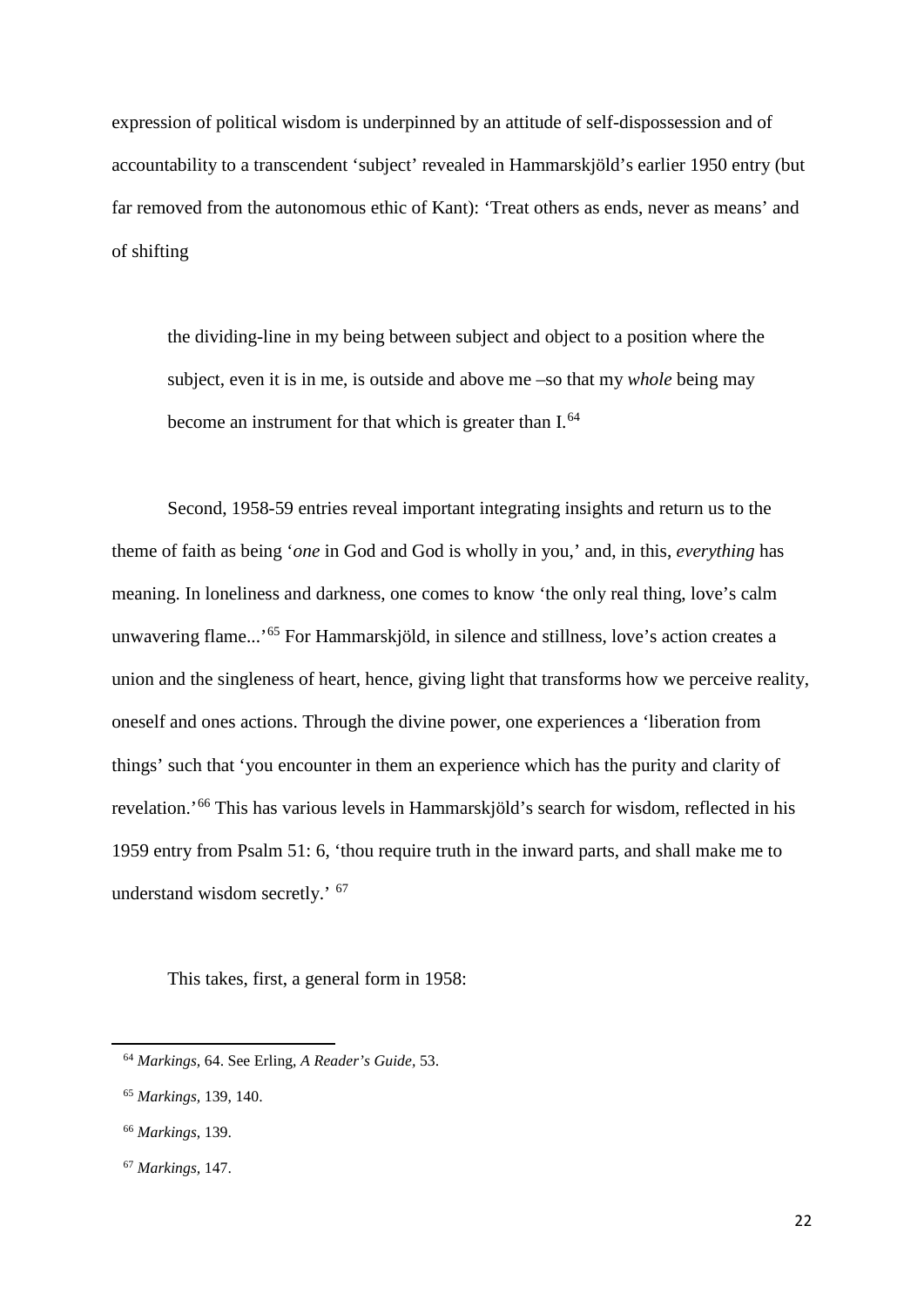expression of political wisdom is underpinned by an attitude of self-dispossession and of accountability to a transcendent 'subject' revealed in Hammarskjöld's earlier 1950 entry (but far removed from the autonomous ethic of Kant): 'Treat others as ends, never as means' and of shifting

the dividing-line in my being between subject and object to a position where the subject, even it is in me, is outside and above me –so that my *whole* being may become an instrument for that which is greater than I.<sup>[64](#page-23-0)</sup>

Second, 1958-59 entries reveal important integrating insights and return us to the theme of faith as being '*one* in God and God is wholly in you,' and, in this, *everything* has meaning. In loneliness and darkness, one comes to know 'the only real thing, love's calm unwavering flame...'[65](#page-23-1) For Hammarskjöld, in silence and stillness, love's action creates a union and the singleness of heart, hence, giving light that transforms how we perceive reality, oneself and ones actions. Through the divine power, one experiences a 'liberation from things' such that 'you encounter in them an experience which has the purity and clarity of revelation.'[66](#page-23-2) This has various levels in Hammarskjöld's search for wisdom, reflected in his 1959 entry from Psalm 51: 6, 'thou require truth in the inward parts, and shall make me to understand wisdom secretly.' [67](#page-23-3) 

This takes, first, a general form in 1958:

<span id="page-23-0"></span> <sup>64</sup> *Markings,* 64. See Erling, *A Reader's Guide,* 53.

<span id="page-23-1"></span> <sup>65</sup> *Markings,* 139, 140.

<span id="page-23-2"></span> <sup>66</sup> *Markings*, 139.

<span id="page-23-3"></span> <sup>67</sup> *Markings,* 147.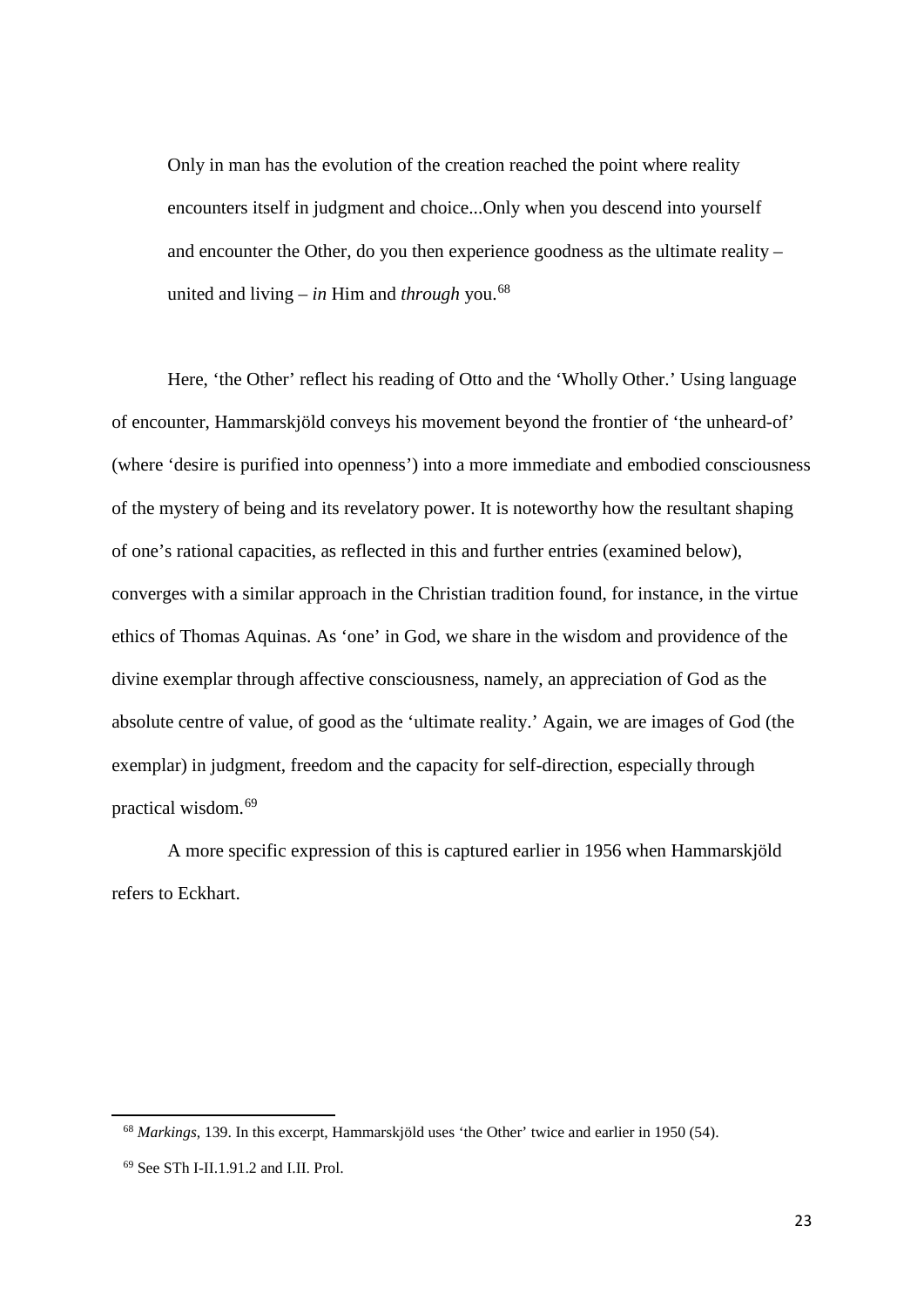Only in man has the evolution of the creation reached the point where reality encounters itself in judgment and choice...Only when you descend into yourself and encounter the Other, do you then experience goodness as the ultimate reality – united and living – *in* Him and *through* you. [68](#page-24-0)

Here, 'the Other' reflect his reading of Otto and the 'Wholly Other.' Using language of encounter, Hammarskjöld conveys his movement beyond the frontier of 'the unheard-of' (where 'desire is purified into openness') into a more immediate and embodied consciousness of the mystery of being and its revelatory power. It is noteworthy how the resultant shaping of one's rational capacities, as reflected in this and further entries (examined below), converges with a similar approach in the Christian tradition found, for instance, in the virtue ethics of Thomas Aquinas. As 'one' in God, we share in the wisdom and providence of the divine exemplar through affective consciousness, namely, an appreciation of God as the absolute centre of value, of good as the 'ultimate reality.' Again, we are images of God (the exemplar) in judgment, freedom and the capacity for self-direction, especially through practical wisdom.[69](#page-24-1)

A more specific expression of this is captured earlier in 1956 when Hammarskjöld refers to Eckhart.

<span id="page-24-0"></span> <sup>68</sup> *Markings*, 139. In this excerpt, Hammarskjöld uses 'the Other' twice and earlier in 1950 (54).

<span id="page-24-1"></span> <sup>69</sup> See STh I-II.1.91.2 and I.II. Prol.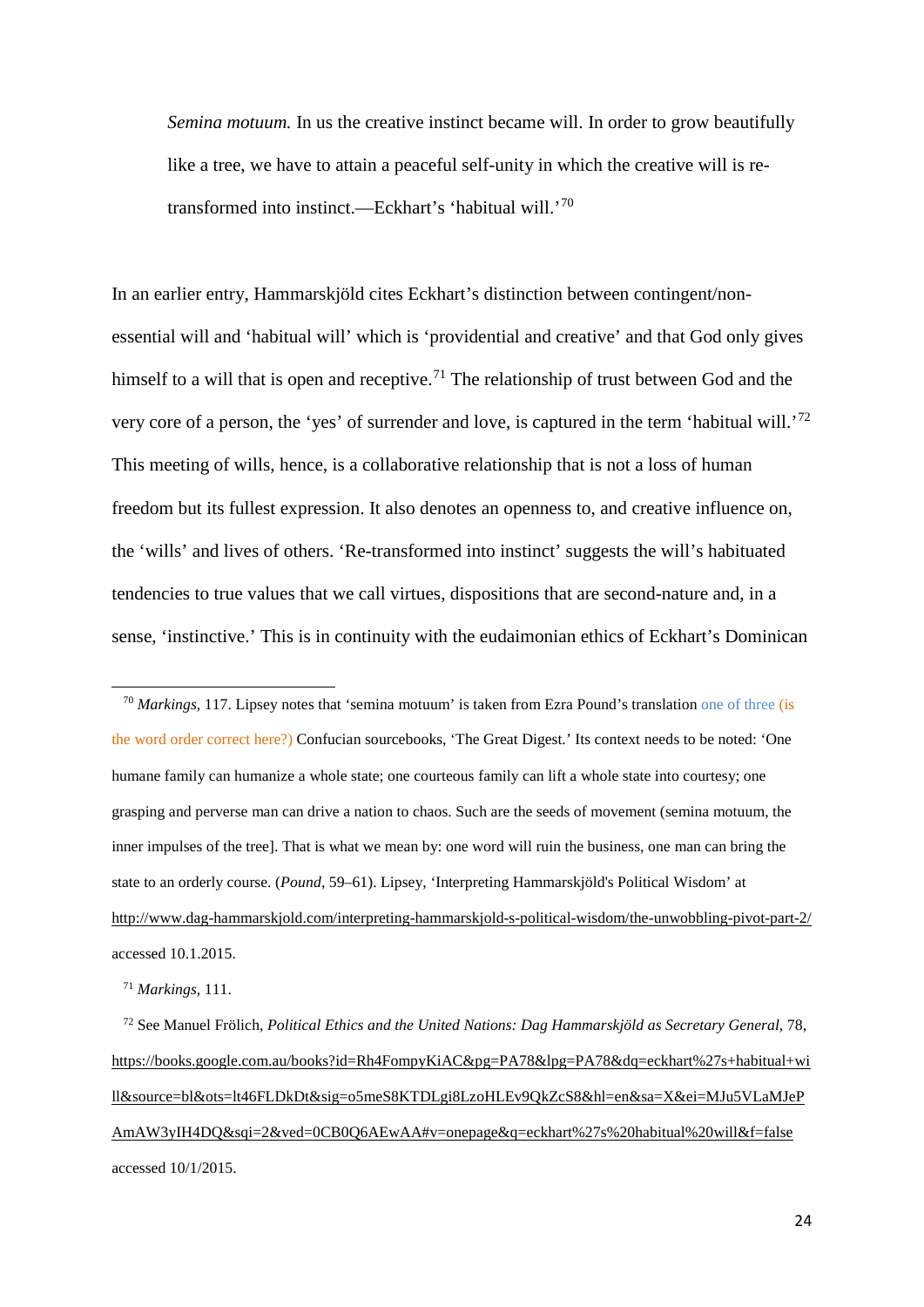*Semina motuum.* In us the creative instinct became will. In order to grow beautifully like a tree, we have to attain a peaceful self-unity in which the creative will is retransformed into instinct.—Eckhart's 'habitual will.'[70](#page-25-0) 

In an earlier entry, Hammarskjöld cites Eckhart's distinction between contingent/nonessential will and 'habitual will' which is 'providential and creative' and that God only gives himself to a will that is open and receptive.<sup>[71](#page-25-1)</sup> The relationship of trust between God and the very core of a person, the 'yes' of surrender and love, is captured in the term 'habitual will.'[72](#page-25-2) This meeting of wills, hence, is a collaborative relationship that is not a loss of human freedom but its fullest expression. It also denotes an openness to, and creative influence on, the 'wills' and lives of others. 'Re-transformed into instinct' suggests the will's habituated tendencies to true values that we call virtues, dispositions that are second-nature and, in a sense, 'instinctive.' This is in continuity with the eudaimonian ethics of Eckhart's Dominican

<span id="page-25-0"></span> 70 *Markings,* 117. Lipsey notes that 'semina motuum' is taken from Ezra Pound's translation one of three (is the word order correct here?) Confucian sourcebooks, 'The Great Digest.' Its context needs to be noted: 'One humane family can humanize a whole state; one courteous family can lift a whole state into courtesy; one grasping and perverse man can drive a nation to chaos. Such are the seeds of movement (semina motuum, the inner impulses of the tree]. That is what we mean by: one word will ruin the business, one man can bring the state to an orderly course. (*Pound*, 59–61). Lipsey, ['Interpreting Hammarskjöld's Political Wisdom'](http://www.dag-hammarskjold.com/interpreting-hammarskjold-s-political-wisdom/) at <http://www.dag-hammarskjold.com/interpreting-hammarskjold-s-political-wisdom/the-unwobbling-pivot-part-2/> accessed 10.1.2015.

71 *Markings,* 111.

**.** 

<span id="page-25-2"></span><span id="page-25-1"></span> 72 See Manuel Frölich, *Political Ethics and the United Nations: Dag Hammarskjöld as Secretary General*, 78, [https://books.google.com.au/books?id=Rh4FompyKiAC&pg=PA78&lpg=PA78&dq=eckhart%27s+habitual+wi](https://books.google.com.au/books?id=Rh4FompyKiAC&pg=PA78&lpg=PA78&dq=eckhart%27s+habitual+will&source=bl&ots=lt46FLDkDt&sig=o5meS8KTDLgi8LzoHLEv9QkZcS8&hl=en&sa=X&ei=MJu5VLaMJePAmAW3yIH4DQ&sqi=2&ved=0CB0Q6AEwAA%23v=onepage&q=eckhart%27s%20habitual%20will&f=false) [ll&source=bl&ots=lt46FLDkDt&sig=o5meS8KTDLgi8LzoHLEv9QkZcS8&hl=en&sa=X&ei=MJu5VLaMJeP](https://books.google.com.au/books?id=Rh4FompyKiAC&pg=PA78&lpg=PA78&dq=eckhart%27s+habitual+will&source=bl&ots=lt46FLDkDt&sig=o5meS8KTDLgi8LzoHLEv9QkZcS8&hl=en&sa=X&ei=MJu5VLaMJePAmAW3yIH4DQ&sqi=2&ved=0CB0Q6AEwAA%23v=onepage&q=eckhart%27s%20habitual%20will&f=false) [AmAW3yIH4DQ&sqi=2&ved=0CB0Q6AEwAA#v=onepage&q=eckhart%27s%20habitual%20will&f=false](https://books.google.com.au/books?id=Rh4FompyKiAC&pg=PA78&lpg=PA78&dq=eckhart%27s+habitual+will&source=bl&ots=lt46FLDkDt&sig=o5meS8KTDLgi8LzoHLEv9QkZcS8&hl=en&sa=X&ei=MJu5VLaMJePAmAW3yIH4DQ&sqi=2&ved=0CB0Q6AEwAA%23v=onepage&q=eckhart%27s%20habitual%20will&f=false) accessed 10/1/2015.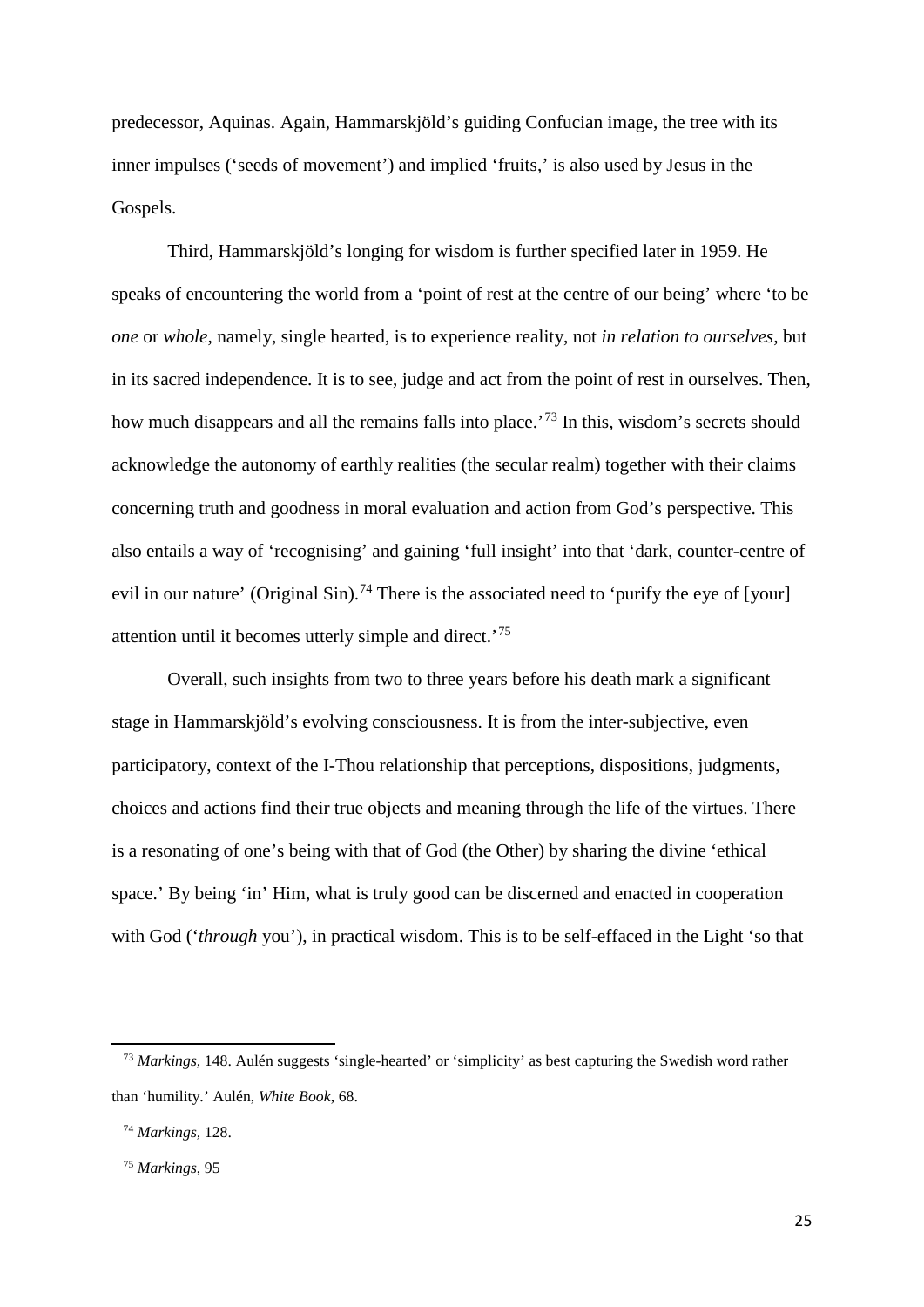predecessor, Aquinas. Again, Hammarskjöld's guiding Confucian image, the tree with its inner impulses ('seeds of movement') and implied 'fruits,' is also used by Jesus in the Gospels.

Third, Hammarskjöld's longing for wisdom is further specified later in 1959. He speaks of encountering the world from a 'point of rest at the centre of our being' where 'to be *one* or *whole,* namely, single hearted, is to experience reality, not *in relation to ourselves,* but in its sacred independence. It is to see, judge and act from the point of rest in ourselves. Then, how much disappears and all the remains falls into place.<sup>[73](#page-26-0)</sup> In this, wisdom's secrets should acknowledge the autonomy of earthly realities (the secular realm) together with their claims concerning truth and goodness in moral evaluation and action from God's perspective. This also entails a way of 'recognising' and gaining 'full insight' into that 'dark, counter-centre of evil in our nature' (Original Sin).<sup>[74](#page-26-1)</sup> There is the associated need to 'purify the eye of [your] attention until it becomes utterly simple and direct.'[75](#page-26-2)

Overall, such insights from two to three years before his death mark a significant stage in Hammarskjöld's evolving consciousness. It is from the inter-subjective, even participatory, context of the I-Thou relationship that perceptions, dispositions, judgments, choices and actions find their true objects and meaning through the life of the virtues. There is a resonating of one's being with that of God (the Other) by sharing the divine 'ethical space.' By being 'in' Him, what is truly good can be discerned and enacted in cooperation with God ('*through* you'), in practical wisdom. This is to be self-effaced in the Light 'so that

<span id="page-26-0"></span> <sup>73</sup> *Markings,* 148. Aulén suggests 'single-hearted' or 'simplicity' as best capturing the Swedish word rather than 'humility.' Aulén, *White Book*, 68.

<span id="page-26-1"></span> <sup>74</sup> *Markings,* 128.

<span id="page-26-2"></span> <sup>75</sup> *Markings*, 95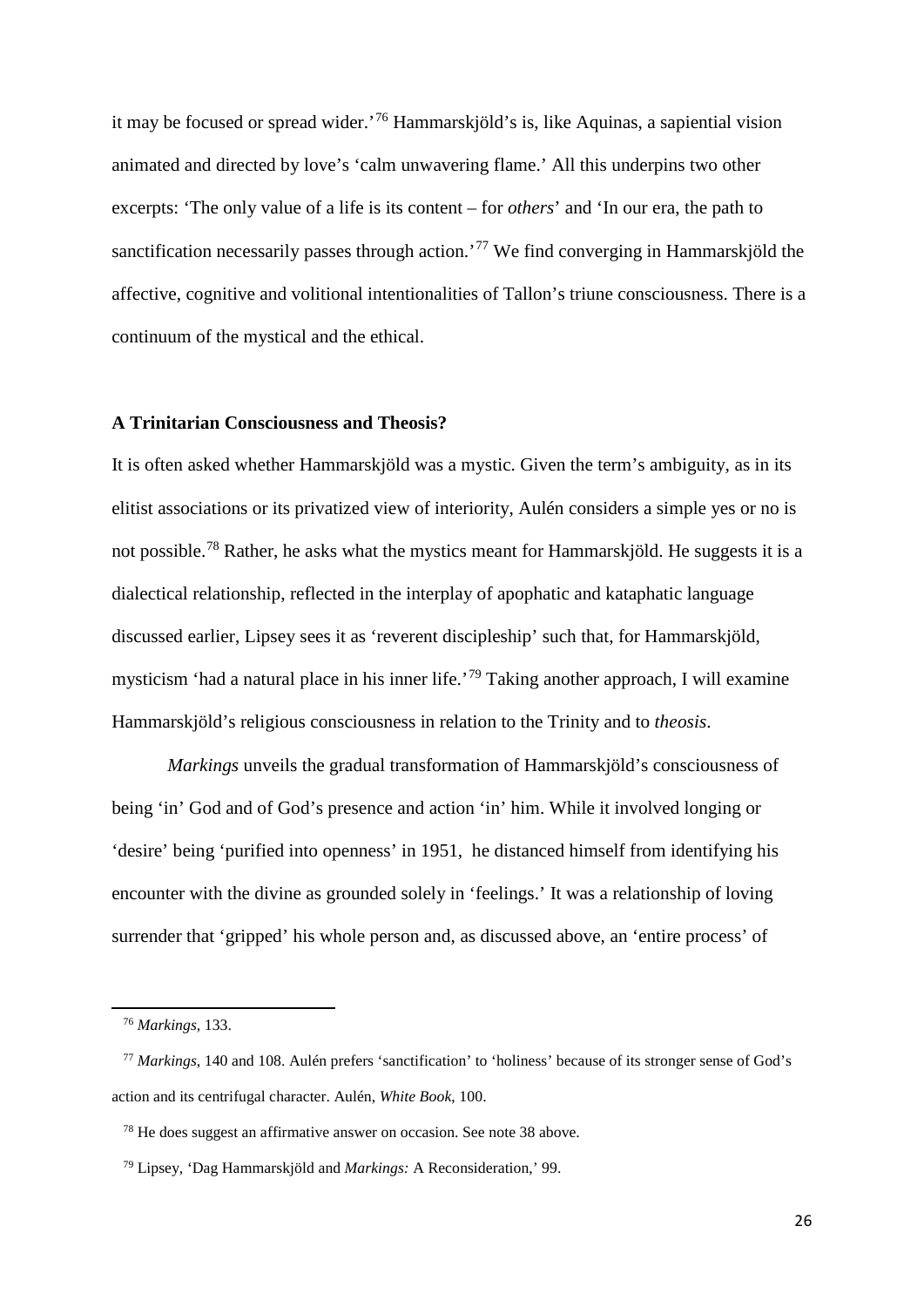it may be focused or spread wider.'[76](#page-27-0) Hammarskjöld's is, like Aquinas, a sapiential vision animated and directed by love's 'calm unwavering flame.' All this underpins two other excerpts: 'The only value of a life is its content – for *others*' and 'In our era, the path to sanctification necessarily passes through action.<sup>[77](#page-27-1)</sup> We find converging in Hammarskjöld the affective, cognitive and volitional intentionalities of Tallon's triune consciousness. There is a continuum of the mystical and the ethical.

#### **A Trinitarian Consciousness and Theosis?**

It is often asked whether Hammarskjöld was a mystic. Given the term's ambiguity, as in its elitist associations or its privatized view of interiority, Aulén considers a simple yes or no is not possible.<sup>[78](#page-27-2)</sup> Rather, he asks what the mystics meant for Hammarskjöld. He suggests it is a dialectical relationship, reflected in the interplay of apophatic and kataphatic language discussed earlier, Lipsey sees it as 'reverent discipleship' such that, for Hammarskjöld, mysticism 'had a natural place in his inner life.'[79](#page-27-3) Taking another approach, I will examine Hammarskjöld's religious consciousness in relation to the Trinity and to *theosis*.

*Markings* unveils the gradual transformation of Hammarskjöld's consciousness of being 'in' God and of God's presence and action 'in' him. While it involved longing or 'desire' being 'purified into openness' in 1951, he distanced himself from identifying his encounter with the divine as grounded solely in 'feelings.' It was a relationship of loving surrender that 'gripped' his whole person and, as discussed above, an 'entire process' of

 <sup>76</sup> *Markings*, 133.

<span id="page-27-1"></span><span id="page-27-0"></span> <sup>77</sup> *Markings*, 140 and 108. Aulén prefers 'sanctification' to 'holiness' because of its stronger sense of God's action and its centrifugal character. Aulén, *White Book*, 100.

<span id="page-27-2"></span> <sup>78</sup> He does suggest an affirmative answer on occasion. See note 38 above.

<span id="page-27-3"></span> <sup>79</sup> Lipsey, 'Dag Hammarskjöld and *Markings:* A Reconsideration,' 99.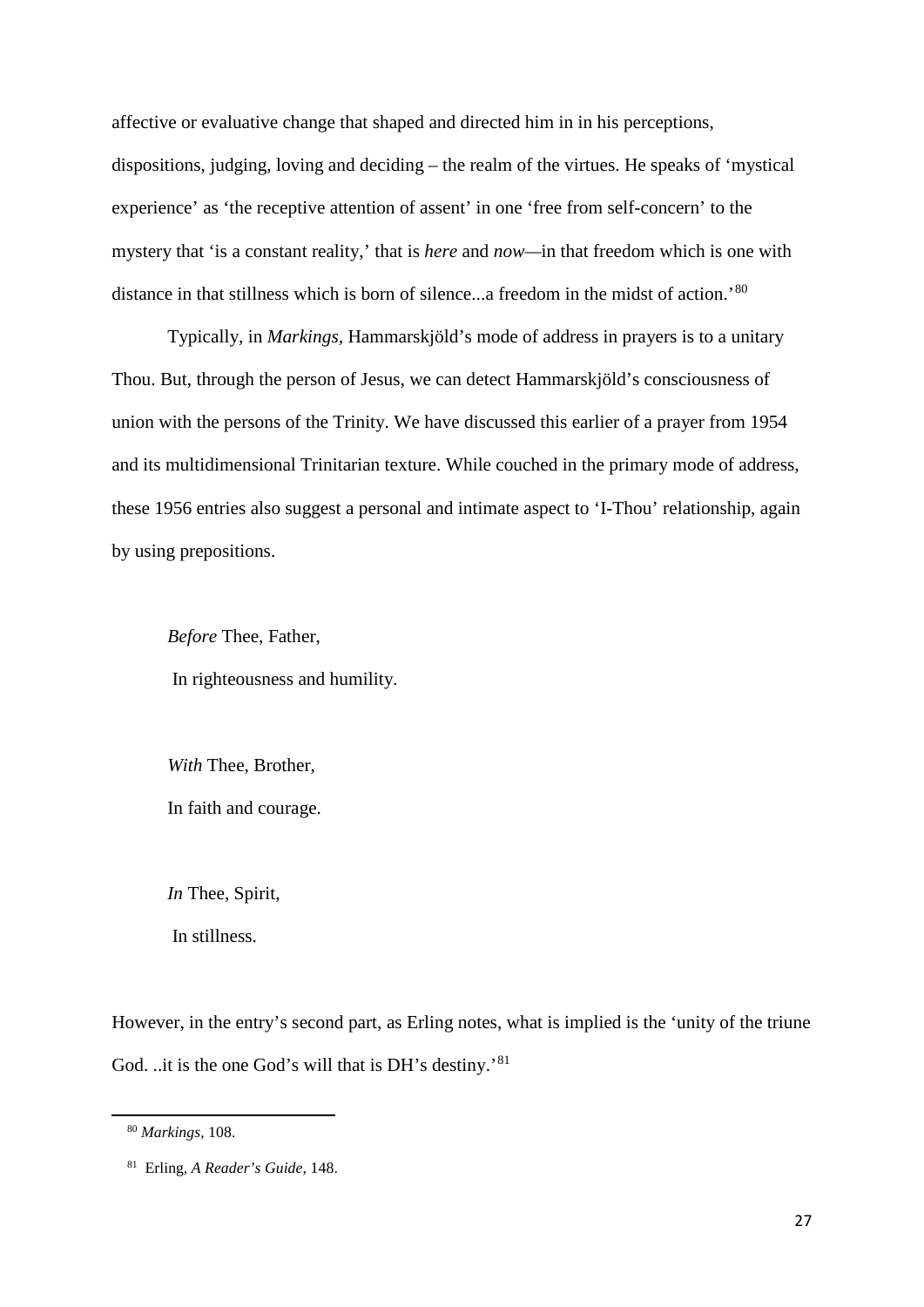affective or evaluative change that shaped and directed him in in his perceptions, dispositions, judging, loving and deciding – the realm of the virtues. He speaks of 'mystical experience' as 'the receptive attention of assent' in one 'free from self-concern' to the mystery that 'is a constant reality,' that is *here* and *now—*in that freedom which is one with distance in that stillness which is born of silence...a freedom in the midst of action.'<sup>[80](#page-28-0)</sup>

Typically, in *Markings,* Hammarskjöld's mode of address in prayers is to a unitary Thou. But, through the person of Jesus, we can detect Hammarskjöld's consciousness of union with the persons of the Trinity. We have discussed this earlier of a prayer from 1954 and its multidimensional Trinitarian texture. While couched in the primary mode of address, these 1956 entries also suggest a personal and intimate aspect to 'I-Thou' relationship, again by using prepositions.

*Before* Thee, Father, In righteousness and humility.

*With* Thee, Brother,

In faith and courage.

*In* Thee, Spirit,

In stillness.

However, in the entry's second part, as Erling notes, what is implied is the 'unity of the triune God. ..it is the one God's will that is DH's destiny.<sup>[81](#page-28-1)</sup>

<span id="page-28-0"></span> <sup>80</sup> *Markings*, 108.

<span id="page-28-1"></span> <sup>81</sup> Erling, *A Reader's Guide,* 148.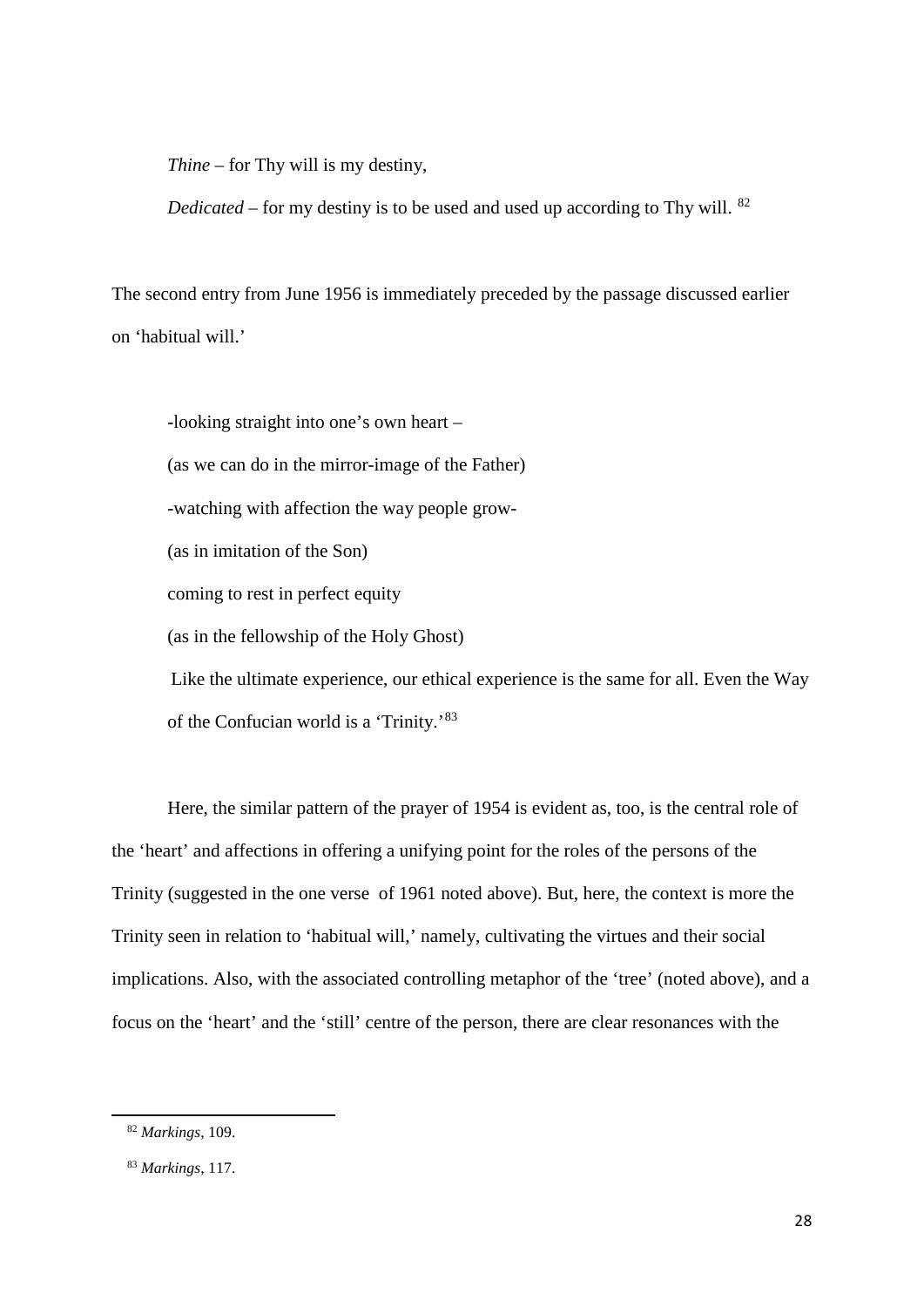*Thine –* for Thy will is my destiny,

*Dedicated* – for my destiny is to be used and used up according to Thy will. <sup>[82](#page-29-0)</sup>

The second entry from June 1956 is immediately preceded by the passage discussed earlier on 'habitual will.'

-looking straight into one's own heart – (as we can do in the mirror-image of the Father) -watching with affection the way people grow- (as in imitation of the Son) coming to rest in perfect equity (as in the fellowship of the Holy Ghost) Like the ultimate experience, our ethical experience is the same for all. Even the Way of the Confucian world is a 'Trinity.'[83](#page-29-1)

Here, the similar pattern of the prayer of 1954 is evident as, too, is the central role of the 'heart' and affections in offering a unifying point for the roles of the persons of the Trinity (suggested in the one verse of 1961 noted above). But, here, the context is more the Trinity seen in relation to 'habitual will,' namely, cultivating the virtues and their social implications. Also, with the associated controlling metaphor of the 'tree' (noted above), and a focus on the 'heart' and the 'still' centre of the person, there are clear resonances with the

<span id="page-29-0"></span> <sup>82</sup> *Markings*, 109.

<span id="page-29-1"></span> <sup>83</sup> *Markings*, 117.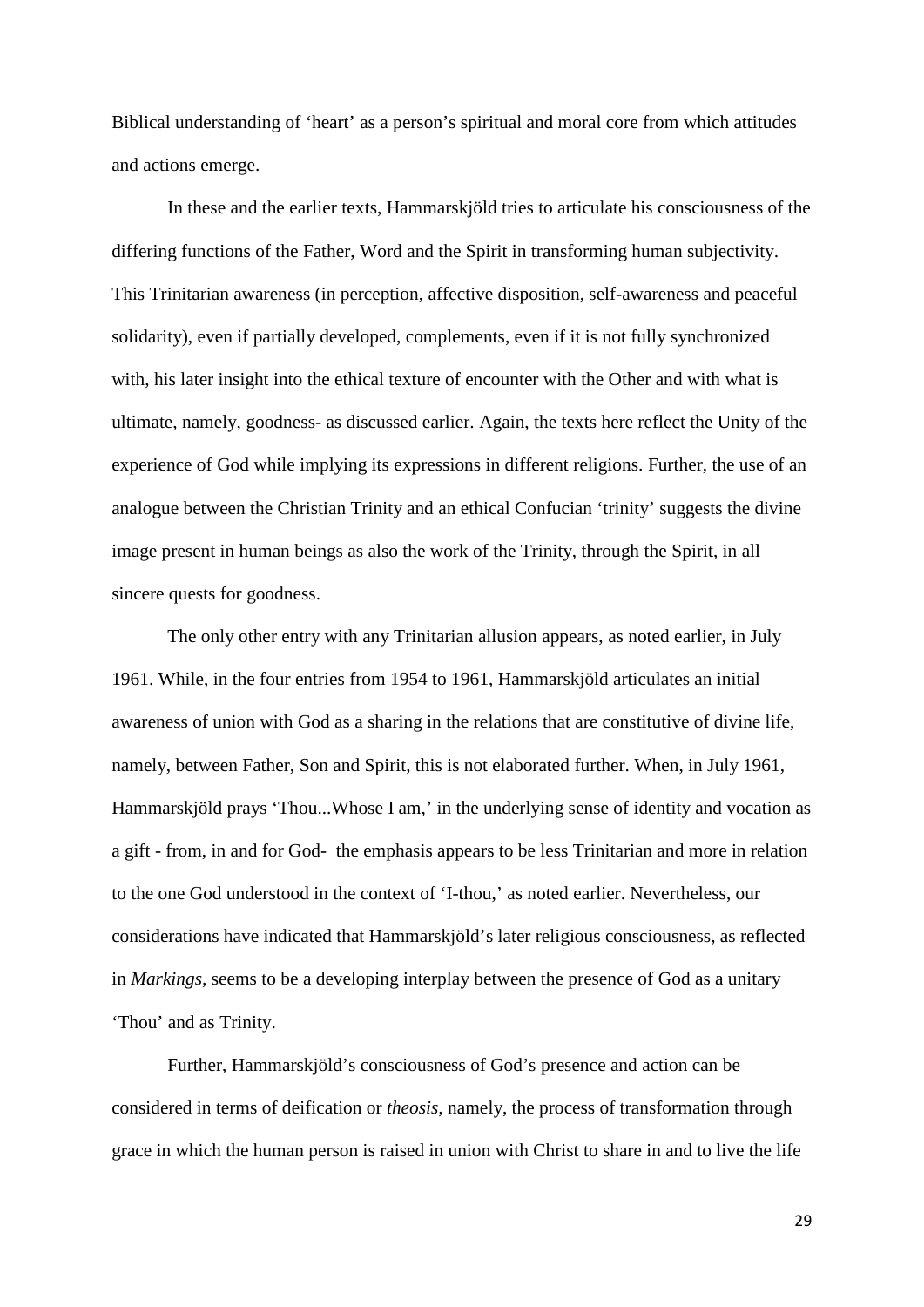Biblical understanding of 'heart' as a person's spiritual and moral core from which attitudes and actions emerge.

In these and the earlier texts, Hammarskjöld tries to articulate his consciousness of the differing functions of the Father, Word and the Spirit in transforming human subjectivity. This Trinitarian awareness (in perception, affective disposition, self-awareness and peaceful solidarity), even if partially developed, complements, even if it is not fully synchronized with, his later insight into the ethical texture of encounter with the Other and with what is ultimate, namely, goodness- as discussed earlier. Again, the texts here reflect the Unity of the experience of God while implying its expressions in different religions. Further, the use of an analogue between the Christian Trinity and an ethical Confucian 'trinity' suggests the divine image present in human beings as also the work of the Trinity, through the Spirit, in all sincere quests for goodness.

The only other entry with any Trinitarian allusion appears, as noted earlier, in July 1961. While, in the four entries from 1954 to 1961, Hammarskjöld articulates an initial awareness of union with God as a sharing in the relations that are constitutive of divine life, namely, between Father, Son and Spirit, this is not elaborated further. When, in July 1961, Hammarskjöld prays 'Thou...Whose I am,' in the underlying sense of identity and vocation as a gift - from, in and for God- the emphasis appears to be less Trinitarian and more in relation to the one God understood in the context of 'I-thou,' as noted earlier. Nevertheless, our considerations have indicated that Hammarskjöld's later religious consciousness, as reflected in *Markings,* seems to be a developing interplay between the presence of God as a unitary 'Thou' and as Trinity.

Further, Hammarskjöld's consciousness of God's presence and action can be considered in terms of deification or *theosis,* namely, the process of transformation through grace in which the human person is raised in union with Christ to share in and to live the life

29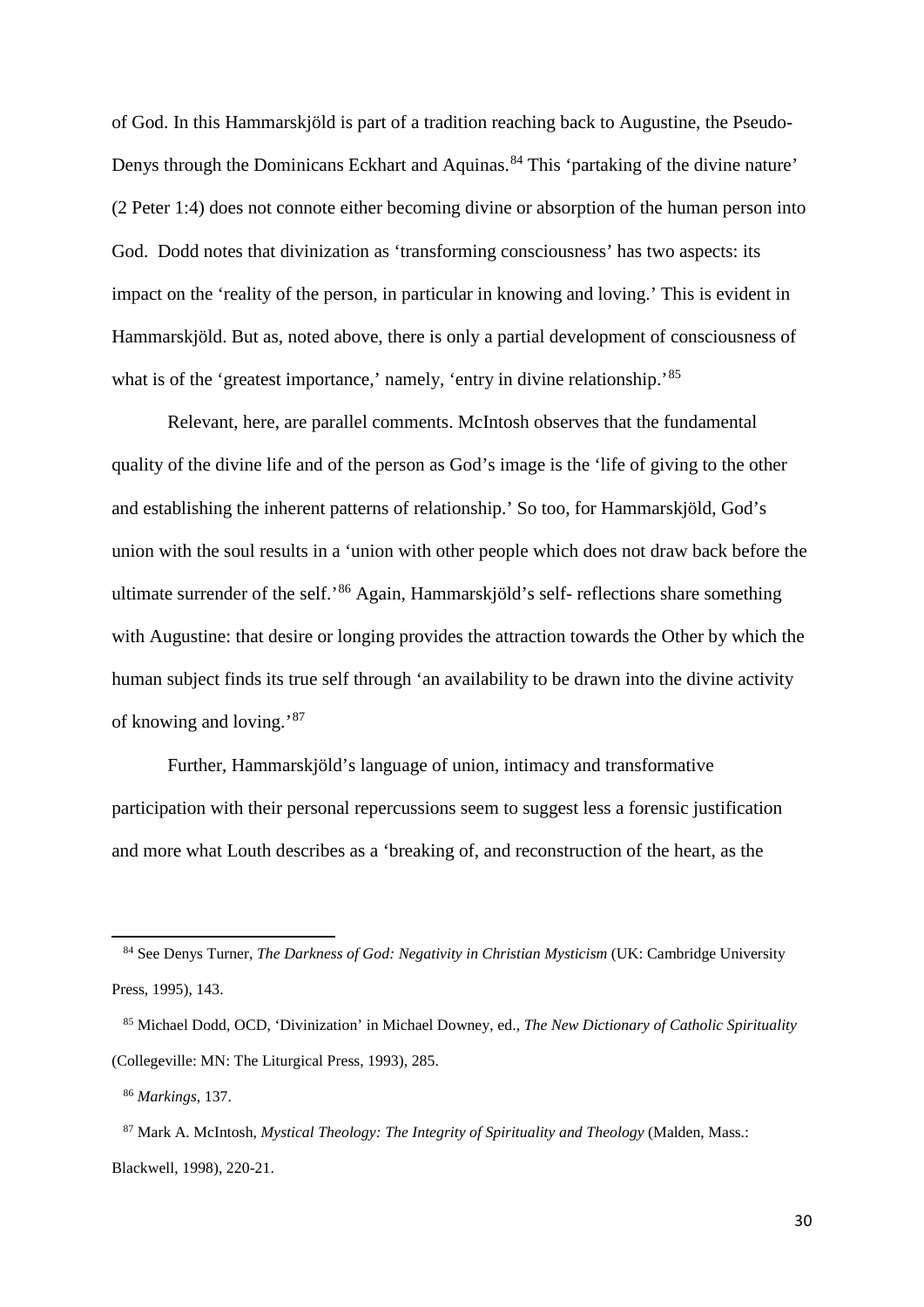of God. In this Hammarskjöld is part of a tradition reaching back to Augustine, the Pseudo-Denys through the Dominicans Eckhart and Aquinas.<sup>[84](#page-31-0)</sup> This 'partaking of the divine nature' (2 Peter 1:4) does not connote either becoming divine or absorption of the human person into God. Dodd notes that divinization as 'transforming consciousness' has two aspects: its impact on the 'reality of the person, in particular in knowing and loving.' This is evident in Hammarskjöld. But as, noted above, there is only a partial development of consciousness of what is of the 'greatest importance,' namely, 'entry in divine relationship.'<sup>85</sup>

Relevant, here, are parallel comments. McIntosh observes that the fundamental quality of the divine life and of the person as God's image is the 'life of giving to the other and establishing the inherent patterns of relationship.' So too, for Hammarskjöld, God's union with the soul results in a 'union with other people which does not draw back before the ultimate surrender of the self.'[86](#page-31-2) Again, Hammarskjöld's self- reflections share something with Augustine: that desire or longing provides the attraction towards the Other by which the human subject finds its true self through 'an availability to be drawn into the divine activity of knowing and loving.'[87](#page-31-3)

Further, Hammarskjöld's language of union, intimacy and transformative participation with their personal repercussions seem to suggest less a forensic justification and more what Louth describes as a 'breaking of, and reconstruction of the heart, as the

<span id="page-31-0"></span> <sup>84</sup> See Denys Turner, *The Darkness of God: Negativity in Christian Mysticism* (UK: Cambridge University Press, 1995), 143.

<span id="page-31-1"></span> <sup>85</sup> Michael Dodd, OCD, 'Divinization' in Michael Downey, ed., *The New Dictionary of Catholic Spirituality*  (Collegeville: MN: The Liturgical Press, 1993), 285.

 <sup>86</sup> *Markings*, 137.

<span id="page-31-3"></span><span id="page-31-2"></span> <sup>87</sup> Mark A. McIntosh, *Mystical Theology: The Integrity of Spirituality and Theology* (Malden, Mass.: Blackwell, 1998), 220-21.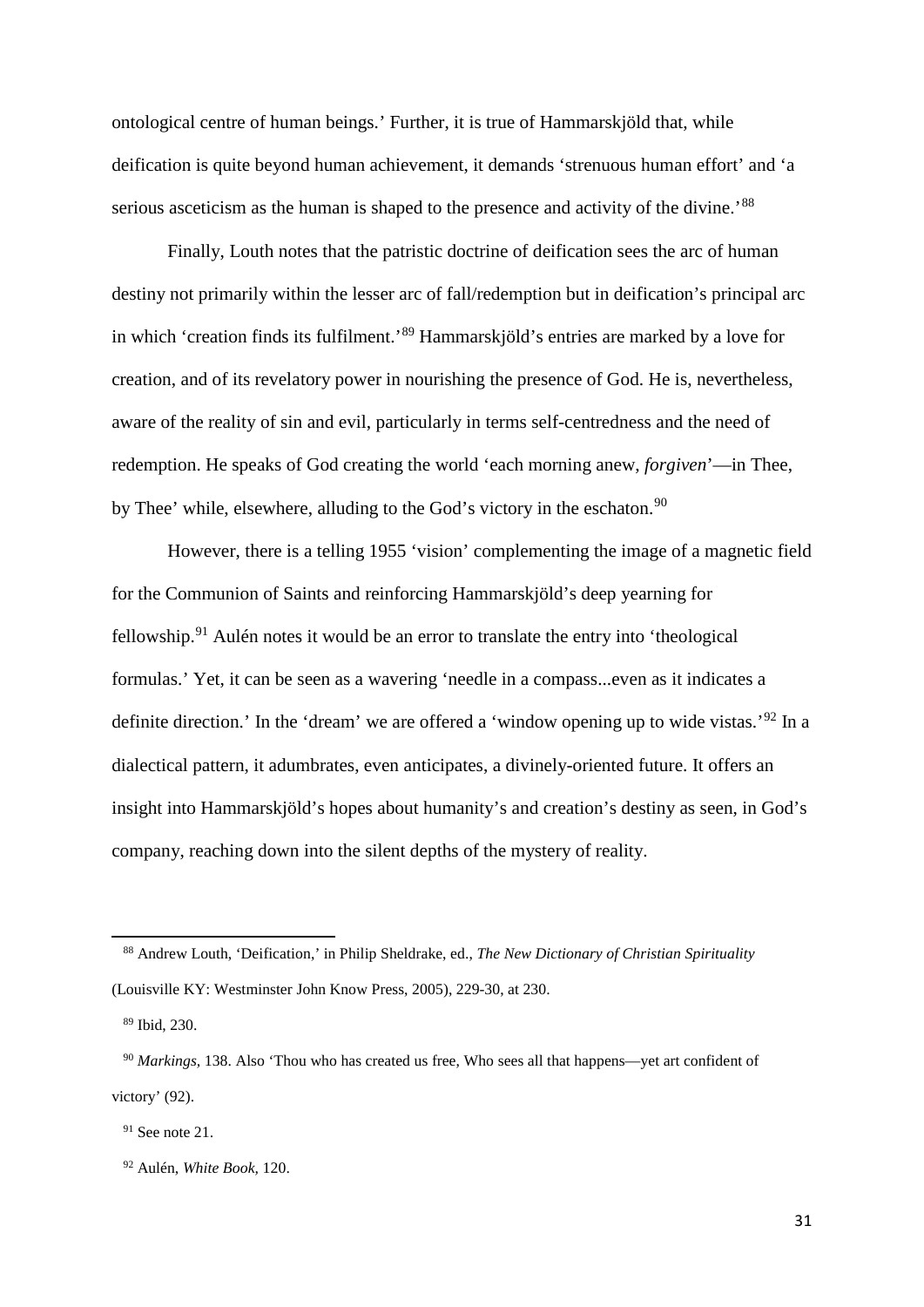ontological centre of human beings.' Further, it is true of Hammarskjöld that, while deification is quite beyond human achievement, it demands 'strenuous human effort' and 'a serious asceticism as the human is shaped to the presence and activity of the divine.<sup>[88](#page-32-0)</sup>

Finally, Louth notes that the patristic doctrine of deification sees the arc of human destiny not primarily within the lesser arc of fall/redemption but in deification's principal arc in which 'creation finds its fulfilment.' [89](#page-32-1) Hammarskjöld's entries are marked by a love for creation, and of its revelatory power in nourishing the presence of God. He is, nevertheless, aware of the reality of sin and evil, particularly in terms self-centredness and the need of redemption. He speaks of God creating the world 'each morning anew, *forgiven*'—in Thee, by Thee' while, elsewhere, alluding to the God's victory in the eschaton.<sup>[90](#page-32-2)</sup>

However, there is a telling 1955 'vision' complementing the image of a magnetic field for the Communion of Saints and reinforcing Hammarskjöld's deep yearning for fellowship.<sup>[91](#page-32-3)</sup> Aulén notes it would be an error to translate the entry into 'theological formulas.' Yet, it can be seen as a wavering 'needle in a compass...even as it indicates a definite direction.' In the 'dream' we are offered a 'window opening up to wide vistas.'<sup>[92](#page-32-4)</sup> In a dialectical pattern, it adumbrates, even anticipates, a divinely-oriented future. It offers an insight into Hammarskjöld's hopes about humanity's and creation's destiny as seen, in God's company, reaching down into the silent depths of the mystery of reality.

<span id="page-32-0"></span> <sup>88</sup> Andrew Louth, 'Deification,' in Philip Sheldrake, ed., *The New Dictionary of Christian Spirituality*  (Louisville KY: Westminster John Know Press, 2005), 229-30, at 230.

 <sup>89</sup> Ibid, 230.

<span id="page-32-2"></span><span id="page-32-1"></span> <sup>90</sup> *Markings,* 138. Also 'Thou who has created us free, Who sees all that happens—yet art confident of victory' (92).

<span id="page-32-3"></span> $91$  See note 21.

<span id="page-32-4"></span> <sup>92</sup> Aulén, *White Book,* 120.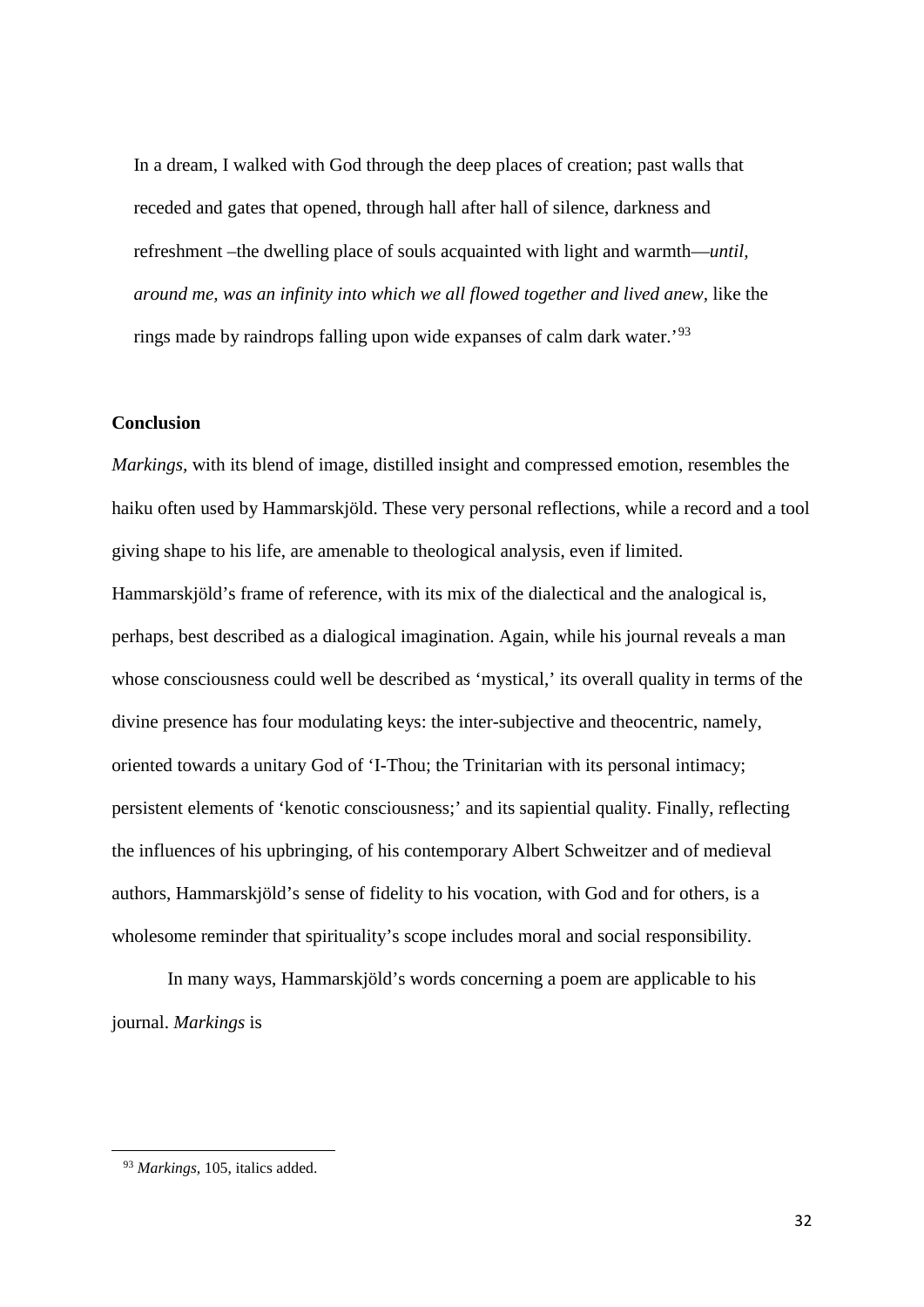In a dream, I walked with God through the deep places of creation; past walls that receded and gates that opened, through hall after hall of silence, darkness and refreshment –the dwelling place of souls acquainted with light and warmth—*until, around me, was an infinity into which we all flowed together and lived anew,* like the rings made by raindrops falling upon wide expanses of calm dark water.'[93](#page-33-0)

## **Conclusion**

*Markings,* with its blend of image, distilled insight and compressed emotion, resembles the haiku often used by Hammarskjöld. These very personal reflections, while a record and a tool giving shape to his life, are amenable to theological analysis, even if limited. Hammarskjöld's frame of reference, with its mix of the dialectical and the analogical is, perhaps, best described as a dialogical imagination. Again, while his journal reveals a man whose consciousness could well be described as 'mystical,' its overall quality in terms of the divine presence has four modulating keys: the inter-subjective and theocentric, namely, oriented towards a unitary God of 'I-Thou; the Trinitarian with its personal intimacy; persistent elements of 'kenotic consciousness;' and its sapiential quality. Finally, reflecting the influences of his upbringing, of his contemporary Albert Schweitzer and of medieval authors, Hammarskjöld's sense of fidelity to his vocation, with God and for others, is a wholesome reminder that spirituality's scope includes moral and social responsibility.

In many ways, Hammarskjöld's words concerning a poem are applicable to his journal. *Markings* is

<span id="page-33-0"></span> <sup>93</sup> *Markings,* 105, italics added.